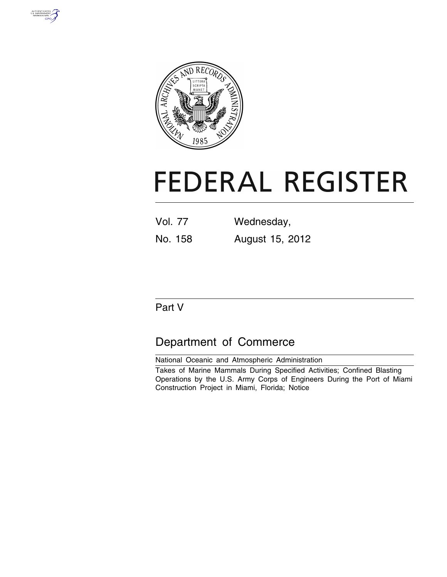



# **FEDERAL REGISTER**

| <b>Vol. 77</b> | Wednesday,      |
|----------------|-----------------|
| No. 158        | August 15, 2012 |

# Part V

# Department of Commerce

National Oceanic and Atmospheric Administration Takes of Marine Mammals During Specified Activities; Confined Blasting Operations by the U.S. Army Corps of Engineers During the Port of Miami Construction Project in Miami, Florida; Notice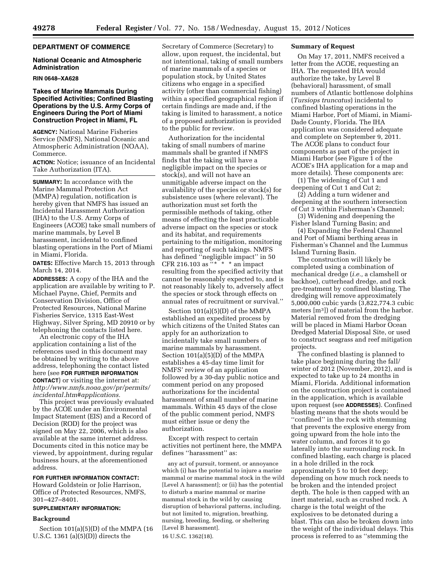# **DEPARTMENT OF COMMERCE**

#### **National Oceanic and Atmospheric Administration**

#### **RIN 0648–XA628**

# **Takes of Marine Mammals During Specified Activities; Confined Blasting Operations by the U.S. Army Corps of Engineers During the Port of Miami Construction Project in Miami, FL**

**AGENCY:** National Marine Fisheries Service (NMFS), National Oceanic and Atmospheric Administration (NOAA), Commerce.

**ACTION:** Notice; issuance of an Incidental Take Authorization (ITA).

**SUMMARY:** In accordance with the Marine Mammal Protection Act (MMPA) regulation, notification is hereby given that NMFS has issued an Incidental Harassment Authorization (IHA) to the U.S. Army Corps of Engineers (ACOE) take small numbers of marine mammals, by Level B harassment, incidental to confined blasting operations in the Port of Miami in Miami, Florida.

**DATES:** Effective March 15, 2013 through March 14, 2014.

**ADDRESSES:** A copy of the IHA and the application are available by writing to P. Michael Payne, Chief, Permits and Conservation Division, Office of Protected Resources, National Marine Fisheries Service, 1315 East-West Highway, Silver Spring, MD 20910 or by telephoning the contacts listed here.

An electronic copy of the IHA application containing a list of the references used in this document may be obtained by writing to the above address, telephoning the contact listed here (see **FOR FURTHER INFORMATION CONTACT**) or visiting the internet at: *[http://www.nmfs.noaa.gov/pr/permits/](http://www.nmfs.noaa.gov/pr/permits/incidental.htm#applications) [incidental.htm#applications.](http://www.nmfs.noaa.gov/pr/permits/incidental.htm#applications)* 

This project was previously evaluated by the ACOE under an Environmental Impact Statement (EIS) and a Record of Decision (ROD) for the project was signed on May 22, 2006, which is also available at the same internet address. Documents cited in this notice may be viewed, by appointment, during regular business hours, at the aforementioned address.

# **FOR FURTHER INFORMATION CONTACT:**

Howard Goldstein or Jolie Harrison, Office of Protected Resources, NMFS, 301–427–8401.

# **SUPPLEMENTARY INFORMATION:**

## **Background**

Section 101(a)(5)(D) of the MMPA (16 U.S.C. 1361 (a) $(5)(D)$ ) directs the

Secretary of Commerce (Secretary) to allow, upon request, the incidental, but not intentional, taking of small numbers of marine mammals of a species or population stock, by United States citizens who engage in a specified activity (other than commercial fishing) within a specified geographical region if certain findings are made and, if the taking is limited to harassment, a notice of a proposed authorization is provided to the public for review.

Authorization for the incidental taking of small numbers of marine mammals shall be granted if NMFS finds that the taking will have a negligible impact on the species or stock(s), and will not have an unmitigable adverse impact on the availability of the species or stock(s) for subsistence uses (where relevant). The authorization must set forth the permissible methods of taking, other means of effecting the least practicable adverse impact on the species or stock and its habitat, and requirements pertaining to the mitigation, monitoring and reporting of such takings. NMFS has defined ''negligible impact'' in 50 CFR 216.103 as  $**$  \* \* an impact resulting from the specified activity that cannot be reasonably expected to, and is not reasonably likely to, adversely affect the species or stock through effects on annual rates of recruitment or survival.''

Section 101(a)(5)(D) of the MMPA established an expedited process by which citizens of the United States can apply for an authorization to incidentally take small numbers of marine mammals by harassment. Section 101(a)(5)(D) of the MMPA establishes a 45-day time limit for NMFS' review of an application followed by a 30-day public notice and comment period on any proposed authorizations for the incidental harassment of small number of marine mammals. Within 45 days of the close of the public comment period, NMFS must either issue or deny the authorization.

Except with respect to certain activities not pertinent here, the MMPA defines "harassment" as:

any act of pursuit, torment, or annoyance which (i) has the potential to injure a marine mammal or marine mammal stock in the wild [Level A harassment]; or (ii) has the potential to disturb a marine mammal or marine mammal stock in the wild by causing disruption of behavioral patterns, including, but not limited to, migration, breathing, nursing, breeding, feeding, or sheltering [Level B harassment]. 16 U.S.C. 1362(18).

#### **Summary of Request**

On May 17, 2011, NMFS received a letter from the ACOE, requesting an IHA. The requested IHA would authorize the take, by Level B (behavioral) harassment, of small numbers of Atlantic bottlenose dolphins (*Tursiops truncatus*) incidental to confined blasting operations in the Miami Harbor, Port of Miami, in Miami-Dade County, Florida. The IHA application was considered adequate and complete on September 9, 2011. The ACOE plans to conduct four components as part of the project in Miami Harbor (see Figure 1 of the ACOE's IHA application for a map and more details). These components are:

(1) The widening of Cut 1 and deepening of Cut 1 and Cut 2;

(2) Adding a turn widener and deepening at the southern intersection of Cut 3 within Fisherman's Channel;

(3) Widening and deepening the Fisher Island Turning Basin; and

(4) Expanding the Federal Channel and Port of Miami berthing areas in Fisherman's Channel and the Lummus Island Turning Basin.

The construction will likely be completed using a combination of mechanical dredge (*i.e.,* a clamshell or backhoe), cutterhead dredge, and rock pre-treatment by confined blasting. The dredging will remove approximately 5,000,000 cubic yards (3,822,774.3 cubic meters [m3]) of material from the harbor. Material removed from the dredging will be placed in Miami Harbor Ocean Dredged Material Disposal Site, or used to construct seagrass and reef mitigation projects.

The confined blasting is planned to take place beginning during the fall/ winter of 2012 (November, 2012), and is expected to take up to 24 months in Miami, Florida. Additional information on the construction project is contained in the application, which is available upon request (see **ADDRESSES**). Confined blasting means that the shots would be ''confined'' in the rock with stemming that prevents the explosive energy from going upward from the hole into the water column, and forces it to go laterally into the surrounding rock. In confined blasting, each charge is placed in a hole drilled in the rock approximately 5 to 10 feet deep; depending on how much rock needs to be broken and the intended project depth. The hole is then capped with an inert material, such as crushed rock. A charge is the total weight of the explosives to be detonated during a blast. This can also be broken down into the weight of the individual delays. This process is referred to as ''stemming the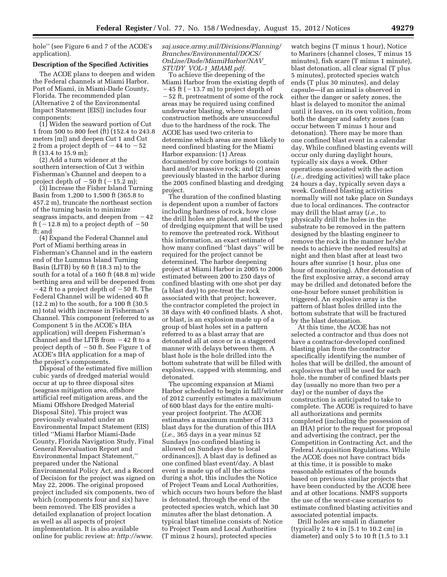hole'' (see Figure 6 and 7 of the ACOE's application).

#### **Description of the Specified Activities**

The ACOE plans to deepen and widen the Federal channels at Miami Harbor, Port of Miami, in Miami-Dade County, Florida. The recommended plan (Alternative 2 of the Environmental Impact Statement [EIS]) includes four components:

(1) Widen the seaward portion of Cut 1 from 500 to 800 feet (ft) (152.4 to 243.8 meters [m]) and deepen Cut 1 and Cut 2 from a project depth of  $-44$  to  $-52$ ft (13.4 to 15.9 m);

(2) Add a turn widener at the southern intersection of Cut 3 within Fisherman's Channel and deepen to a project depth of  $-50$  ft ( $-15.\overline{2}$  m);

(3) Increase the Fisher Island Turning Basin from 1,200 to 1,500 ft (365.8 to 457.2 m), truncate the northeast section of the turning basin to minimize seagrass impacts, and deepen from  $-42$ ft ( $-12.8$  m) to a project depth of  $-50$ ft: and

(4) Expand the Federal Channel and Port of Miami berthing areas in Fisherman's Channel and in the eastern end of the Lummus Island Turning Basin (LITB) by 60 ft (18.3 m) to the south for a total of a 160 ft (48.8 m) wide berthing area and will be deepened from  $-42$  ft to a project depth of  $-50$  ft. The Federal Channel will be widened 40 ft (12.2 m) to the south, for a 100 ft (30.5 m) total width increase in Fisherman's Channel. This component (referred to as Component 5 in the ACOE's IHA application) will deepen Fisherman's Channel and the LITB from  $-42$  ft to a project depth of  $-50$  ft. See Figure 1 of ACOE's IHA application for a map of the project's components.

Disposal of the estimated five million cubic yards of dredged material would occur at up to three disposal sites (seagrass mitigation area, offshore artificial reef mitigation areas, and the Miami Offshore Dredged Material Disposal Site). This project was previously evaluated under an Environmental Impact Statement (EIS) titled ''Miami Harbor Miami-Dade County, Florida Navigation Study, Final General Reevaluation Report and Environmental Impact Statement,'' prepared under the National Environmental Policy Act, and a Record of Decision for the project was signed on May 22, 2006. The original proposed project included six components, two of which (components four and six) have been removed. The EIS provides a detailed explanation of project location as well as all aspects of project implementation. It is also available online for public review at: *[http://www.](http://www.saj.usace.army.mil/Divisions/Planning/Branches/Environmental/DOCS/OnLine/Dade/MiamiHarbor/NAV_STUDY_VOL-1_MIAMI.pdf)*

*[saj.usace.army.mil/Divisions/Planning/](http://www.saj.usace.army.mil/Divisions/Planning/Branches/Environmental/DOCS/OnLine/Dade/MiamiHarbor/NAV_STUDY_VOL-1_MIAMI.pdf) [Branches/Environmental/DOCS/](http://www.saj.usace.army.mil/Divisions/Planning/Branches/Environmental/DOCS/OnLine/Dade/MiamiHarbor/NAV_STUDY_VOL-1_MIAMI.pdf) [OnLine/Dade/MiamiHarbor/NAV](http://www.saj.usace.army.mil/Divisions/Planning/Branches/Environmental/DOCS/OnLine/Dade/MiamiHarbor/NAV_STUDY_VOL-1_MIAMI.pdf)*\_ *STUDY*\_*VOL-1*\_*[MIAMI.pdf.](http://www.saj.usace.army.mil/Divisions/Planning/Branches/Environmental/DOCS/OnLine/Dade/MiamiHarbor/NAV_STUDY_VOL-1_MIAMI.pdf)* 

To achieve the deepening of the Miami Harbor from the existing depth of

 $-45$  ft ( $-13.7$  m) to project depth of  $-52$  ft, pretreatment of some of the rock areas may be required using confined underwater blasting, where standard construction methods are unsuccessful due to the hardness of the rock. The ACOE has used two criteria to determine which areas are most likely to need confined blasting for the Miami Harbor expansion: (1) Areas documented by core borings to contain hard and/or massive rock; and (2) areas previously blasted in the harbor during the 2005 confined blasting and dredging project.

The duration of the confined blasting is dependent upon a number of factors including hardness of rock, how close the drill holes are placed, and the type of dredging equipment that will be used to remove the pretreated rock. Without this information, an exact estimate of how many confined ''blast days'' will be required for the project cannot be determined. The harbor deepening project at Miami Harbor in 2005 to 2006 estimated between 200 to 250 days of confined blasting with one shot per day (a blast day) to pre-treat the rock associated with that project; however, the contractor completed the project in 38 days with 40 confined blasts. A shot, or blast, is an explosion made up of a group of blast holes set in a pattern referred to as a blast array that are detonated all at once or in a staggered manner with delays between them. A blast hole is the hole drilled into the bottom substrate that will be filled with explosives, capped with stemming, and detonated.

The upcoming expansion at Miami Harbor scheduled to begin in fall/winter of 2012 currently estimates a maximum of 600 blast days for the entire multiyear project footprint. The ACOE estimates a maximum number of 313 blast days for the duration of this IHA (*i.e.,* 365 days in a year minus 52 Sundays [no confined blasting is allowed on Sundays due to local ordinances]). A blast day is defined as one confined blast event/day. A blast event is made up of all the actions during a shot, this includes the Notice of Project Team and Local Authorities, which occurs two hours before the blast is detonated, through the end of the protected species watch, which last 30 minutes after the blast detonation. A typical blast timeline consists of: Notice to Project Team and Local Authorities (T minus 2 hours), protected species

watch begins (T minus 1 hour), Notice to Mariners (channel closes, T minus 15 minutes), fish scare (T minus 1 minute), blast detonation, all clear signal (T plus 5 minutes), protected species watch ends (T plus 30 minutes), and delay capsule—if an animal is observed in either the danger or safety zones, the blast is delayed to monitor the animal until it leaves, on its own volition, from both the danger and safety zones (can occur between T minus 1 hour and detonation). There may be more than one confined blast event in a calendar day. While confined blasting events will occur only during daylight hours, typically six days a week. Other operations associated with the action (*i.e.,* dredging activities) will take place 24 hours a day, typically seven days a week. Confined blasting activities normally will not take place on Sundays due to local ordinances. The contractor may drill the blast array (*i.e.,* to physically drill the holes in the substrate to be removed in the pattern designed by the blasting engineer to remove the rock in the manner he/she needs to achieve the needed results) at night and then blast after at least two hours after sunrise (1 hour, plus one hour of monitoring). After detonation of the first explosive array, a second array may be drilled and detonated before the one-hour before sunset prohibition is triggered. An explosive array is the pattern of blast holes drilled into the bottom substrate that will be fractured by the blast detonation.

At this time, the ACOE has not selected a contractor and thus does not have a contractor-developed confined blasting plan from the contractor specifically identifying the number of holes that will be drilled, the amount of explosives that will be used for each hole, the number of confined blasts per day (usually no more than two per a day) or the number of days the construction is anticipated to take to complete. The ACOE is required to have all authorizations and permits completed (including the possession of an IHA) prior to the request for proposal and advertising the contract, per the Competition in Contracting Act, and the Federal Acquisition Regulations. While the ACOE does not have contract bids at this time, it is possible to make reasonable estimates of the bounds based on previous similar projects that have been conducted by the ACOE here and at other locations. NMFS supports the use of the worst-case scenarios to estimate confined blasting activities and associated potential impacts.

Drill holes are small in diameter (typically 2 to 4 in [5.1 to 10.2 cm] in diameter) and only 5 to 10 ft (1.5 to 3.1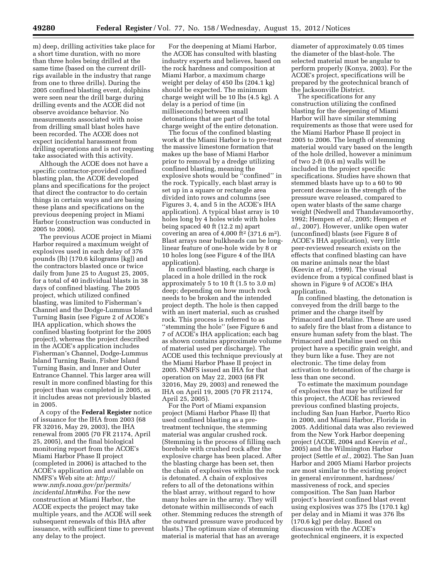m) deep, drilling activities take place for a short time duration, with no more than three holes being drilled at the same time (based on the current drillrigs available in the industry that range from one to three drills). During the 2005 confined blasting event, dolphins were seen near the drill barge during drilling events and the ACOE did not observe avoidance behavior. No measurements associated with noise from drilling small blast holes have been recorded. The ACOE does not expect incidental harassment from drilling operations and is not requesting take associated with this activity.

Although the ACOE does not have a specific contractor-provided confined blasting plan, the ACOE developed plans and specifications for the project that direct the contractor to do certain things in certain ways and are basing these plans and specifications on the previous deepening project in Miami Harbor (construction was conducted in 2005 to 2006).

The previous ACOE project in Miami Harbor required a maximum weight of explosives used in each delay of 376 pounds (lb) (170.6 kilograms [kg]) and the contractors blasted once or twice daily from June 25 to August 25, 2005, for a total of 40 individual blasts in 38 days of confined blasting. The 2005 project, which utilized confined blasting, was limited to Fisherman's Channel and the Dodge-Lummus Island Turning Basin (see Figure 2 of ACOE's IHA application, which shows the confined blasting footprint for the 2005 project), whereas the project described in the ACOE's application includes Fisherman's Channel, Dodge-Lummus Island Turning Basin, Fisher Island Turning Basin, and Inner and Outer Entrance Channel. This larger area will result in more confined blasting for this project than was completed in 2005, as it includes areas not previously blasted in 2005.

A copy of the **Federal Register** notice of issuance for the IHA from 2003 (68 FR 32016, May 29, 2003), the IHA renewal from 2005 (70 FR 21174, April 25, 2005), and the final biological monitoring report from the ACOE's Miami Harbor Phase II project (completed in 2006) is attached to the ACOE's application and available on NMFS's Web site at: *[http://](http://www.nmfs.noaa.gov/pr/permits/incidental.htm#iha) [www.nmfs.noaa.gov/pr/permits/](http://www.nmfs.noaa.gov/pr/permits/incidental.htm#iha) [incidental.htm#iha.](http://www.nmfs.noaa.gov/pr/permits/incidental.htm#iha)* For the new construction at Miami Harbor, the ACOE expects the project may take multiple years, and the ACOE will seek subsequent renewals of this IHA after issuance, with sufficient time to prevent any delay to the project.

For the deepening at Miami Harbor, the ACOE has consulted with blasting industry experts and believes, based on the rock hardness and composition at Miami Harbor, a maximum charge weight per delay of 450 lbs (204.1 kg) should be expected. The minimum charge weight will be 10 lbs (4.5 kg). A delay is a period of time (in milliseconds) between small detonations that are part of the total charge weight of the entire detonation.

The focus of the confined blasting work at the Miami Harbor is to pre-treat the massive limestone formation that makes up the base of Miami Harbor prior to removal by a dredge utilizing confined blasting, meaning the explosive shots would be ''confined'' in the rock. Typically, each blast array is set up in a square or rectangle area divided into rows and columns (see Figures 3, 4, and 5 in the ACOE's IHA application). A typical blast array is 10 holes long by 4 holes wide with holes being spaced 40 ft (12.2 m) apart covering an area of  $4,000$  ft<sup>2</sup> (371.6 m<sup>2</sup>). Blast arrays near bulkheads can be longlinear feature of one-hole wide by 8 or 10 holes long (see Figure 4 of the IHA application).

In confined blasting, each charge is placed in a hole drilled in the rock approximately 5 to 10 ft (1.5 to 3.0 m) deep; depending on how much rock needs to be broken and the intended project depth. The hole is then capped with an inert material, such as crushed rock. This process is referred to as ''stemming the hole'' (see Figure 6 and 7 of ACOE's IHA application; each bag as shown contains approximate volume of material used per discharge). The ACOE used this technique previously at the Miami Harbor Phase II project in 2005. NMFS issued an IHA for that operation on May 22, 2003 (68 FR 32016, May 29, 2003) and renewed the IHA on April 19, 2005 (70 FR 21174, April 25, 2005).

For the Port of Miami expansion project (Miami Harbor Phase II) that used confined blasting as a pretreatment technique, the stemming material was angular crushed rock. (Stemming is the process of filling each borehole with crushed rock after the explosive charge has been placed. After the blasting charge has been set, then the chain of explosives within the rock is detonated. A chain of explosives refers to all of the detonations within the blast array, without regard to how many holes are in the array. They will detonate within milliseconds of each other. Stemming reduces the strength of the outward pressure wave produced by blasts.) The optimum size of stemming material is material that has an average

diameter of approximately 0.05 times the diameter of the blast-hole. The selected material must be angular to perform properly (Konya, 2003). For the ACOE's project, specifications will be prepared by the geotechnical branch of the Jacksonville District.

The specifications for any construction utilizing the confined blasting for the deepening of Miami Harbor will have similar stemming requirements as those that were used for the Miami Harbor Phase II project in 2005 to 2006. The length of stemming material would vary based on the length of the hole drilled, however a minimum of two 2-ft (0.6 m) walls will be included in the project specific specifications. Studies have shown that stemmed blasts have up to a 60 to 90 percent decrease in the strength of the pressure wave released, compared to open water blasts of the same charge weight (Nedwell and Thandavamoorthy, 1992; Hempen *et al.,* 2005; Hempen *et al.,* 2007). However, unlike open water (unconfined) blasts (see Figure 8 of ACOE's IHA application), very little peer-reviewed research exists on the effects that confined blasting can have on marine animals near the blast (Keevin *et al.,* 1999). The visual evidence from a typical confined blast is shown in Figure 9 of ACOE's IHA application.

In confined blasting, the detonation is conveyed from the drill barge to the primer and the charge itself by Primacord and Detaline. These are used to safely fire the blast from a distance to ensure human safety from the blast. The Primacord and Detaline used on this project have a specific grain weight, and they burn like a fuse. They are not electronic. The time delay from activation to detonation of the charge is less than one second.

To estimate the maximum poundage of explosives that may be utilized for this project, the ACOE has reviewed previous confined blasting projects, including San Juan Harbor, Puerto Rico in 2000, and Miami Harbor, Florida in 2005. Additional data was also reviewed from the New York Harbor deepening project (ACOE, 2004 and Keevin *et al.,*  2005) and the Wilmington Harbor project (Settle *et al.,* 2002). The San Juan Harbor and 2005 Miami Harbor projects are most similar to the existing project in general environment, hardness/ massiveness of rock, and species composition. The San Juan Harbor project's heaviest confined blast event using explosives was 375 lbs (170.1 kg) per delay and in Miami it was 376 lbs (170.6 kg) per delay. Based on discussion with the ACOE's geotechnical engineers, it is expected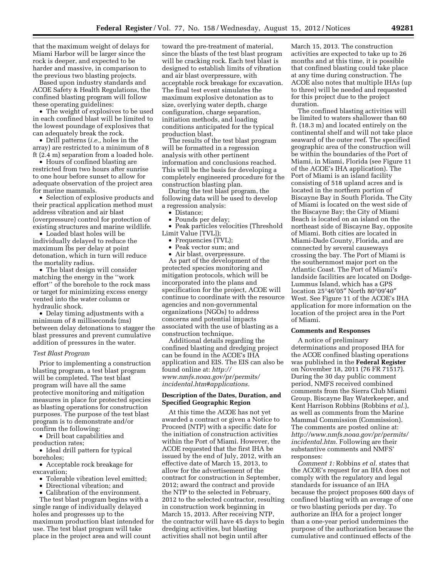that the maximum weight of delays for Miami Harbor will be larger since the rock is deeper, and expected to be harder and massive, in comparison to the previous two blasting projects.

Based upon industry standards and ACOE Safety & Health Regulations, the confined blasting program will follow these operating guidelines:

• The weight of explosives to be used in each confined blast will be limited to the lowest poundage of explosives that can adequately break the rock.

• Drill patterns (*i.e.,* holes in the array) are restricted to a minimum of 8 ft (2.4 m) separation from a loaded hole.

• Hours of confined blasting are restricted from two hours after sunrise to one hour before sunset to allow for adequate observation of the project area for marine mammals.

• Selection of explosive products and their practical application method must address vibration and air blast (overpressure) control for protection of existing structures and marine wildlife.

• Loaded blast holes will be individually delayed to reduce the maximum lbs per delay at point detonation, which in turn will reduce the mortality radius.

• The blast design will consider matching the energy in the ''work effort'' of the borehole to the rock mass or target for minimizing excess energy vented into the water column or hydraulic shock.

• Delay timing adjustments with a minimum of 8 milliseconds (ms) between delay detonations to stagger the blast pressures and prevent cumulative addition of pressures in the water.

#### *Test Blast Program*

Prior to implementing a construction blasting program, a test blast program will be completed. The test blast program will have all the same protective monitoring and mitigation measures in place for protected species as blasting operations for construction purposes. The purpose of the test blast program is to demonstrate and/or confirm the following:

• Drill boat capabilities and production rates;

• Ideal drill pattern for typical boreholes;

• Acceptable rock breakage for excavation;

- Tolerable vibration level emitted;
- Directional vibration; and

• Calibration of the environment.

The test blast program begins with a single range of individually delayed holes and progresses up to the maximum production blast intended for use. The test blast program will take place in the project area and will count

toward the pre-treatment of material, since the blasts of the test blast program will be cracking rock. Each test blast is designed to establish limits of vibration and air blast overpressure, with acceptable rock breakage for excavation. The final test event simulates the maximum explosive detonation as to size, overlying water depth, charge configuration, charge separation, initiation methods, and loading conditions anticipated for the typical production blast.

The results of the test blast program will be formatted in a regression analysis with other pertinent information and conclusions reached. This will be the basis for developing a completely engineered procedure for the construction blasting plan.

During the test blast program, the following data will be used to develop a regression analysis:

• Distance;

• Pounds per delay;

• Peak particles velocities (Threshold Limit Value [TVL]);

- Frequencies (TVL);
- Peak vector sum; and

• Air blast, overpressure.

As part of the development of the protected species monitoring and mitigation protocols, which will be incorporated into the plans and specification for the project, ACOE will continue to coordinate with the resource agencies and non-governmental organizations (NGOs) to address concerns and potential impacts associated with the use of blasting as a construction technique.

Additional details regarding the confined blasting and dredging project can be found in the ACOE's IHA application and EIS. The EIS can also be found online at: *[http://](http://www.nmfs.noaa.gov/pr/permits/incidental.htm#applications)  [www.nmfs.noaa.gov/pr/permits/](http://www.nmfs.noaa.gov/pr/permits/incidental.htm#applications) [incidental.htm#applications.](http://www.nmfs.noaa.gov/pr/permits/incidental.htm#applications)* 

## **Description of the Dates, Duration, and Specified Geographic Region**

At this time the ACOE has not yet awarded a contract or given a Notice to Proceed (NTP) with a specific date for the initiation of construction activities within the Port of Miami. However, the ACOE requested that the first IHA be issued by the end of July, 2012, with an effective date of March 15, 2013, to allow for the advertisement of the contract for construction in September, 2012; award the contract and provide the NTP to the selected in February, 2012 to the selected contractor, resulting in construction work beginning in March 15, 2013. After receiving NTP, the contractor will have 45 days to begin dredging activities, but blasting activities shall not begin until after

March 15, 2013. The construction activities are expected to take up to 26 months and at this time, it is possible that confined blasting could take place at any time during construction. The ACOE also notes that multiple IHAs (up to three) will be needed and requested for this project due to the project duration.

The confined blasting activities will be limited to waters shallower than 60 ft. (18.3 m) and located entirely on the continental shelf and will not take place seaward of the outer reef. The specified geographic area of the construction will be within the boundaries of the Port of Miami, in Miami, Florida (see Figure 11 of the ACOE's IHA application). The Port of Miami is an island facility consisting of 518 upland acres and is located in the northern portion of Biscayne Bay in South Florida. The City of Miami is located on the west side of the Biscayne Bay; the City of Miami Beach is located on an island on the northeast side of Biscayne Bay, opposite of Miami. Both cities are located in Miami-Dade County, Florida, and are connected by several causeways crossing the bay. The Port of Miami is the southernmost major port on the Atlantic Coast. The Port of Miami's landside facilities are located on Dodge-Lummus Island, which has a GPS location 25°46′05″ North 80°09′40″ West. See Figure 11 of the ACOE's IHA application for more information on the location of the project area in the Port of Miami.

#### **Comments and Responses**

A notice of preliminary determinations and proposed IHA for the ACOE confined blasting operations was published in the **Federal Register**  on November 18, 2011 (76 FR 71517). During the 30 day public comment period, NMFS received combined comments from the Sierra Club Miami Group, Biscayne Bay Waterkeeper, and Kent Harrison Robbins (Robbins *et al.*), as well as comments from the Marine Mammal Commission (Commission). The comments are posted online at: *[http://www.nmfs.noaa.gov/pr/permits/](http://www.nmfs.noaa.gov/pr/permits/incidental.htm)  [incidental.htm.](http://www.nmfs.noaa.gov/pr/permits/incidental.htm)* Following are their substantive comments and NMFS' responses:

*Comment 1:* Robbins *et al.* states that the ACOE's request for an IHA does not comply with the regulatory and legal standards for issuance of an IHA because the project proposes 600 days of confined blasting with an average of one or two blasting periods per day. To authorize an IHA for a project longer than a one-year period undermines the purpose of the authorization because the cumulative and continued effects of the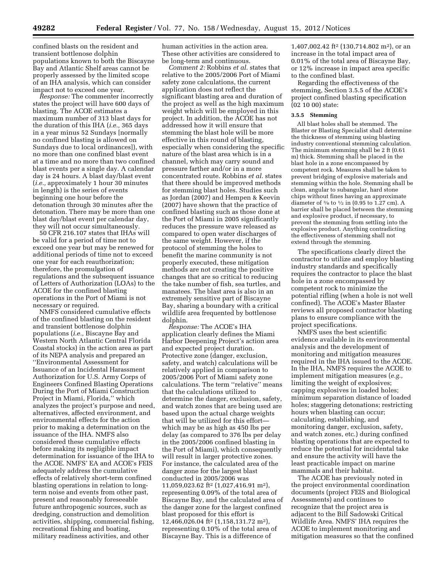confined blasts on the resident and transient bottlenose dolphin populations known to both the Biscayne Bay and Atlantic Shelf areas cannot be properly assessed by the limited scope of an IHA analysis, which can consider impact not to exceed one year.

*Response:* The commenter incorrectly states the project will have 600 days of blasting. The ACOE estimates a maximum number of 313 blast days for the duration of this IHA (*i.e.,* 365 days in a year minus 52 Sundays [normally no confined blasting is allowed on Sundays due to local ordinances]), with no more than one confined blast event at a time and no more than two confined blast events per a single day. A calendar day is 24 hours. A blast day/blast event (*i.e.,* approximately 1 hour 30 minutes in length) is the series of events beginning one hour before the detonation through 30 minutes after the detonation. There may be more than one blast day/blast event per calendar day, they will not occur simultaneously.

50 CFR 216.107 states that IHAs will be valid for a period of time not to exceed one year but may be renewed for additional periods of time not to exceed one year for each reauthorization; therefore, the promulgation of regulations and the subsequent issuance of Letters of Authorization (LOAs) to the ACOE for the confined blasting operations in the Port of Miami is not necessary or required.

NMFS considered cumulative effects of the confined blasting on the resident and transient bottlenose dolphin populations (*i.e.,* Biscayne Bay and Western North Atlantic Central Florida Coastal stocks) in the action area as part of its NEPA analysis and prepared an ''Environmental Assessment for Issuance of an Incidental Harassment Authorization for U.S. Army Corps of Engineers Confined Blasting Operations During the Port of Miami Construction Project in Miami, Florida,'' which analyzes the project's purpose and need, alternatives, affected environment, and environmental effects for the action prior to making a determination on the issuance of the IHA. NMFS also considered these cumulative effects before making its negligible impact determination for issuance of the IHA to the ACOE. NMFS' EA and ACOE's FEIS adequately address the cumulative effects of relatively short-term confined blasting operations in relation to longterm noise and events from other past, present and reasonably foreseeable future anthropogenic sources, such as dredging, construction and demolition activities, shipping, commercial fishing, recreational fishing and boating, military readiness activities, and other

human activities in the action area. These other activities are considered to be long-term and continuous.

*Comment 2:* Robbins *et al.* states that relative to the 2005/2006 Port of Miami safety zone calculations, the current application does not reflect the significant blasting area and duration of the project as well as the high maximum weight which will be employed in this project. In addition, the ACOE has not addressed how it will ensure that stemming the blast hole will be more effective in this round of blasting, especially when considering the specific nature of the blast area which is in a channel, which may carry sound and pressure farther and/or in a more concentrated route. Robbins *et al.* states that there should be improved methods for stemming blast holes. Studies such as Jordan (2007) and Hempen & Keevin (2007) have shown that the practice of confined blasting such as those done at the Port of Miami in 2005 significantly reduces the pressure wave released as compared to open water discharges of the same weight. However, if the protocol of stemming the holes to benefit the marine community is not properly executed, these mitigation methods are not creating the positive changes that are so critical to reducing the take number of fish, sea turtles, and manatees. The blast area is also in an extremely sensitive part of Biscayne Bay, sharing a boundary with a critical wildlife area frequented by bottlenose dolphin.

*Response:* The ACOE's IHA application clearly defines the Miami Harbor Deepening Project's action area and expected project duration. Protective zone (danger, exclusion, safety, and watch) calculations will be relatively applied in comparison to 2005/2006 Port of Miami safety zone calculations. The term ''relative'' means that the calculations utilized to determine the danger, exclusion, safety, and watch zones that are being used are based upon the actual charge weights that will be utilized for this effort which may be as high as 450 lbs per delay (as compared to 376 lbs per delay in the 2005/2006 confined blasting in the Port of Miami), which consequently will result in larger protective zones. For instance, the calculated area of the danger zone for the largest blast conducted in 2005/2006 was 11,059,023.62 ft2 (1,027,416.91 m2), representing 0.09% of the total area of Biscayne Bay, and the calculated area of the danger zone for the largest confined blast proposed for this effort is 12,466,026.04 ft2 (1,158,131.72 m2), representing 0.10% of the total area of Biscayne Bay. This is a difference of

1,407,002.42 ft<sup>2</sup> (130,714.802 m<sup>2</sup>), or an increase in the total impact area of 0.01% of the total area of Biscayne Bay, or 12% increase in impact area specific to the confined blast.

Regarding the effectiveness of the stemming, Section 3.5.5 of the ACOE's project confined blasting specification (02 10 00) state:

#### **3.5.5 Stemming**

All blast holes shall be stemmed. The Blaster or Blasting Specialist shall determine the thickness of stemming using blasting industry conventional stemming calculation. The minimum stemming shall be 2 ft (0.61 m) thick. Stemming shall be placed in the blast hole in a zone encompassed by competent rock. Measures shall be taken to prevent bridging of explosive materials and stemming within the hole. Stemming shall be clean, angular to subangular, hard stone chips without fines having an approximate diameter of  $\frac{3}{8}$  to  $\frac{1}{2}$  in (0.95 to 1.27 cm). A barrier shall be placed between the stemming and explosive product, if necessary, to prevent the stemming from settling into the explosive product. Anything contradicting the effectiveness of stemming shall not extend through the stemming.

The specifications clearly direct the contractor to utilize and employ blasting industry standards and specifically requires the contractor to place the blast hole in a zone encompassed by competent rock to minimize the potential rifling (when a hole is not well confined). The ACOE's Master Blaster reviews all proposed contractor blasting plans to ensure compliance with the project specifications.

NMFS uses the best scientific evidence available in its environmental analysis and the development of monitoring and mitigation measures required in the IHA issued to the ACOE. In the IHA, NMFS requires the ACOE to implement mitigation measures (*e.g.,*  limiting the weight of explosives; capping explosives in loaded holes; minimum separation distance of loaded holes; staggering detonations; restricting hours when blasting can occur; calculating, establishing, and monitoring danger, exclusion, safety, and watch zones, etc.) during confined blasting operations that are expected to reduce the potential for incidental take and ensure the activity will have the least practicable impact on marine mammals and their habitat.

The ACOE has previously noted in the project environmental coordination documents (project FEIS and Biological Assessments) and continues to recognize that the project area is adjacent to the Bill Sadowski Critical Wildlife Area. NMFS' IHA requires the ACOE to implement monitoring and mitigation measures so that the confined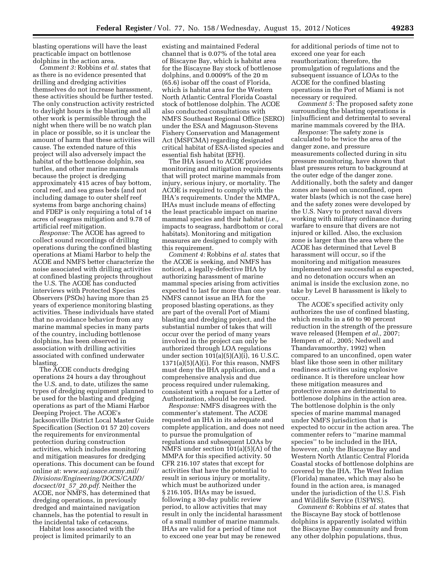blasting operations will have the least practicable impact on bottlenose dolphins in the action area.

*Comment 3:* Robbins *et al.* states that as there is no evidence presented that drilling and dredging activities themselves do not increase harassment, these activities should be further tested. The only construction activity restricted to daylight hours is the blasting and all other work is permissible through the night when there will be no watch plan in place or possible, so it is unclear the amount of harm that these activities will cause. The extended nature of this project will also adversely impact the habitat of the bottlenose dolphin, sea turtles, and other marine mammals because the project is dredging approximately 415 acres of bay bottom, coral reef, and sea grass beds (and not including damage to outer shelf reef systems from barge anchoring chains) and FDEP is only requiring a total of 14 acres of seagrass mitigation and 9.78 of artificial reef mitigation.

*Response:* The ACOE has agreed to collect sound recordings of drilling operations during the confined blasting operations at Miami Harbor to help the ACOE and NMFS better characterize the noise associated with drilling activities at confined blasting projects throughout the U.S. The ACOE has conducted interviews with Protected Species Observers (PSOs) having more than 25 years of experience monitoring blasting activities. These individuals have stated that no avoidance behavior from any marine mammal species in many parts of the country, including bottlenose dolphins, has been observed in association with drilling activities associated with confined underwater blasting.

The ACOE conducts dredging operations 24 hours a day throughout the U.S. and, to date, utilizes the same types of dredging equipment planned to be used for the blasting and dredging operations as part of the Miami Harbor Deeping Project. The ACOE's Jacksonville District Local Master Guide Specification (Section 01 57 20) covers the requirements for environmental protection during construction activities, which includes monitoring and mitigation measures for dredging operations. This document can be found online at: *[www.saj.usace.army.mil/](http://www.saj.usace.army.mil/Divisions/Engineering/DOCS/CADD/docsect/01_57_20.pdf) [Divisions/Engineering/DOCS/CADD/](http://www.saj.usace.army.mil/Divisions/Engineering/DOCS/CADD/docsect/01_57_20.pdf) [docsect/01](http://www.saj.usace.army.mil/Divisions/Engineering/DOCS/CADD/docsect/01_57_20.pdf)*\_*57*\_*20.pdf.* Neither the ACOE, nor NMFS, has determined that dredging operations, in previously dredged and maintained navigation channels, has the potential to result in the incidental take of cetaceans.

Habitat loss associated with the project is limited primarily to an

existing and maintained Federal channel that is 0.07% of the total area of Biscayne Bay, which is habitat area for the Biscayne Bay stock of bottlenose dolphins, and 0.0009% of the 20 m (65.6) isobar off the coast of Florida, which is habitat area for the Western North Atlantic Central Florida Coastal stock of bottlenose dolphin. The ACOE also conducted consultations with NMFS Southeast Regional Office (SERO) under the ESA and Magnuson-Stevens Fishery Conservation and Management Act (MSFCMA) regarding designated critical habitat of ESA-listed species and essential fish habitat (EFH).

The IHA issued to ACOE provides monitoring and mitigation requirements that will protect marine mammals from injury, serious injury, or mortality. The ACOE is required to comply with the IHA's requirements. Under the MMPA, IHAs must include means of effecting the least practicable impact on marine mammal species and their habitat (*i.e.,*  impacts to seagrass, hardbottom or coral habitats). Monitoring and mitigation measures are designed to comply with this requirement.

*Comment 4:* Robbins *et al.* states that the ACOE is seeking, and NMFS has noticed, a legally-defective IHA by authorizing harassment of marine mammal species arising from activities expected to last for more than one year. NMFS cannot issue an IHA for the proposed blasting operations, as they are part of the overall Port of Miami blasting and dredging project, and the substantial number of takes that will occur over the period of many years involved in the project can only be authorized through LOA regulations under section 101(a)(5)(A)(i), 16 U.S.C. 1371(a)(5)(A)(i). For this reason, NMFS must deny the IHA application, and a comprehensive analysis and due process required under rulemaking, consistent with a request for a Letter of Authorization, should be required.

*Response:* NMFS disagrees with the commenter's statement. The ACOE requested an IHA in its adequate and complete application, and does not need to pursue the promulgation of regulations and subsequent LOAs by NMFS under section 101(a)(5)(A) of the MMPA for this specified activity. 50 CFR 216.107 states that except for activities that have the potential to result in serious injury or mortality, which must be authorized under § 216.105, IHAs may be issued, following a 30-day public review period, to allow activities that may result in only the incidental harassment of a small number of marine mammals. IHAs are valid for a period of time not to exceed one year but may be renewed

for additional periods of time not to exceed one year for each reauthorization; therefore, the promulgation of regulations and the subsequent issuance of LOAs to the ACOE for the confined blasting operations in the Port of Miami is not necessary or required.

*Comment 5:* The proposed safety zone surrounding the blasting operations is [in]sufficient and detrimental to several marine mammals covered by the IHA.

*Response:* The safety zone is calculated to be twice the area of the danger zone, and pressure measurements collected during in situ pressure monitoring, have shown that blast pressures return to background at the outer edge of the danger zone. Additionally, both the safety and danger zones are based on unconfined, open water blasts (which is not the case here) and the safety zones were developed by the U.S. Navy to protect naval divers working with military ordinance during warfare to ensure that divers are not injured or killed. Also, the exclusion zone is larger than the area where the ACOE has determined that Level B harassment will occur, so if the monitoring and mitigation measures implemented are successful as expected, and no detonation occurs when an animal is inside the exclusion zone, no take by Level B harassment is likely to occur.

The ACOE's specified activity only authorizes the use of confined blasting, which results in a 60 to 90 percent reduction in the strength of the pressure wave released (Hempen *et al.,* 2007; Hempen *et al.,* 2005; Nedwell and Thandavamoorthy, 1992) when compared to an unconfined, open water blast like those seen in other military readiness activities using explosive ordinance. It is therefore unclear how these mitigation measures and protective zones are detrimental to bottlenose dolphins in the action area. The bottlenose dolphin is the only species of marine mammal managed under NMFS jurisdiction that is expected to occur in the action area. The commenter refers to ''marine mammal species'' to be included in the IHA, however, only the Biscayne Bay and Western North Atlantic Central Florida Coastal stocks of bottlenose dolphins are covered by the IHA. The West Indian (Florida) manatee, which may also be found in the action area, is managed under the jurisdiction of the U.S. Fish and Wildlife Service (USFWS).

*Comment 6:* Robbins *et al.* states that the Biscayne Bay stock of bottlenose dolphins is apparently isolated within the Biscayne Bay community and from any other dolphin populations, thus,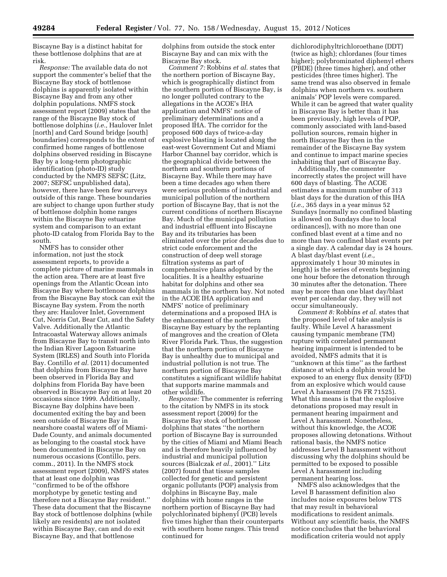Biscayne Bay is a distinct habitat for these bottlenose dolphins that are at risk.

*Response:* The available data do not support the commenter's belief that the Biscayne Bay stock of bottlenose dolphins is apparently isolated within Biscayne Bay and from any other dolphin populations. NMFS stock assessment report (2009) states that the range of the Biscayne Bay stock of bottlenose dolphins (*i.e.,* Haulover Inlet [north] and Card Sound bridge [south] boundaries) corresponds to the extent of confirmed home ranges of bottlenose dolphins observed residing in Biscayne Bay by a long-term photographic identification (photo-ID) study conducted by the NMFS SEFSC (Litz, 2007; SEFSC unpublished data), however, there have been few surveys outside of this range. These boundaries are subject to change upon further study of bottlenose dolphin home ranges within the Biscayne Bay estuarine system and comparison to an extant photo-ID catalog from Florida Bay to the south.

NMFS has to consider other information, not just the stock assessment reports, to provide a complete picture of marine mammals in the action area. There are at least five openings from the Atlantic Ocean into Biscayne Bay where bottlenose dolphins from the Biscayne Bay stock can exit the Biscayne Bay system. From the north they are: Haulover Inlet, Government Cut, Norris Cut, Bear Cut, and the Safety Valve. Additionally the Atlantic Intracoastal Waterway allows animals from Biscayne Bay to transit north into the Indian River Lagoon Estuarine System (IRLES) and South into Florida Bay. Contillo *et al.* (2011) documented that dolphins from Biscayne Bay have been observed in Florida Bay and dolphins from Florida Bay have been observed in Biscayne Bay on at least 20 occasions since 1999. Additionally, Biscayne Bay dolphins have been documented exiting the bay and been seen outside of Biscayne Bay in nearshore coastal waters off of Miami-Dade County, and animals documented as belonging to the coastal stock have been documented in Biscayne Bay on numerous occasions (Contillo, pers. comm., 2011). In the NMFS stock assessment report (2009), NMFS states that at least one dolphin was ''confirmed to be of the offshore morphotype by genetic testing and therefore not a Biscayne Bay resident.'' These data document that the Biscayne Bay stock of bottlenose dolphins (while likely are residents) are not isolated within Biscayne Bay, can and do exit Biscayne Bay, and that bottlenose

dolphins from outside the stock enter Biscayne Bay and can mix with the Biscayne Bay stock.

*Comment 7:* Robbins *et al.* states that the northern portion of Biscayne Bay, which is geographically distinct from the southern portion of Biscayne Bay, is no longer polluted contrary to the allegations in the ACOE's IHA application and NMFS' notice of preliminary determinations and a proposed IHA. The corridor for the proposed 600 days of twice-a-day explosive blasting is located along the east-west Government Cut and Miami Harbor Channel bay corridor, which is the geographical divide between the northern and southern portions of Biscayne Bay. While there may have been a time decades ago when there were serious problems of industrial and municipal pollution of the northern portion of Biscayne Bay, that is not the current conditions of northern Biscayne Bay. Much of the municipal pollution and industrial effluent into Biscayne Bay and its tributaries has been eliminated over the prior decades due to strict code enforcement and the construction of deep well storage filtration systems as part of comprehensive plans adopted by the localities. It is a healthy estuarine habitat for dolphins and other sea mammals in the northern bay. Not noted in the ACOE IHA application and NMFS' notice of preliminary determinations and a proposed IHA is the enhancement of the northern Biscayne Bay estuary by the replanting of mangroves and the creation of Oleta River Florida Park. Thus, the suggestion that the northern portion of Biscayne Bay is unhealthy due to municipal and industrial pollution is not true. The northern portion of Biscayne Bay constitutes a significant wildlife habitat that supports marine mammals and other wildlife.

*Response:* The commenter is referring to the citation by NMFS in its stock assessment report (2009) for the Biscayne Bay stock of bottlenose dolphins that states ''the northern portion of Biscayne Bay is surrounded by the cities of Miami and Miami Beach and is therefore heavily influenced by industrial and municipal pollution sources (Bialczak *et al.,* 2001).'' Litz (2007) found that tissue samples collected for genetic and persistent organic pollutants (POP) analysis from dolphins in Biscayne Bay, male dolphins with home ranges in the northern portion of Biscayne Bay had polychlorinated biphenyl (PCB) levels five times higher than their counterparts with southern home ranges. This trend continued for

dichlorodiphyltrichloroethane (DDT) (twice as high); chlordanes (four times higher); polybrominated diphenyl ethers (PBDE) (three times higher), and other pesticides (three times higher). The same trend was also observed in female dolphins when northern vs. southern animals' POP levels were compared. While it can be agreed that water quality in Biscayne Bay is better than it has been previously, high levels of POP, commonly associated with land-based pollution sources, remain higher in north Biscayne Bay then in the remainder of the Biscayne Bay system and continue to impact marine species inhabiting that part of Biscayne Bay.

Additionally, the commenter incorrectly states the project will have 600 days of blasting. The ACOE estimates a maximum number of 313 blast days for the duration of this IHA (*i.e.,* 365 days in a year minus 52 Sundays [normally no confined blasting is allowed on Sundays due to local ordinances]), with no more than one confined blast event at a time and no more than two confined blast events per a single day. A calendar day is 24 hours. A blast day/blast event (*i.e.,*  approximately 1 hour 30 minutes in length) is the series of events beginning one hour before the detonation through 30 minutes after the detonation. There may be more than one blast day/blast event per calendar day, they will not occur simultaneously.

*Comment 8:* Robbins *et al.* states that the proposed level of take analysis is faulty. While Level A harassment causing tympanic membrane (TM) rupture with correlated permanent hearing impairment is intended to be avoided, NMFS admits that it is ''unknown at this time'' as the farthest distance at which a dolphin would be exposed to an energy flux density (EFD) from an explosive which would cause Level A harassment (76 FR 71525). What this means is that the explosive detonations proposed may result in permanent hearing impairment and Level A harassment. Nonetheless, without this knowledge, the ACOE proposes allowing detonations. Without rational basis, the NMFS notice addresses Level B harassment without discussing why the dolphins should be permitted to be exposed to possible Level A harassment including permanent hearing loss.

NMFS also acknowledges that the Level B harassment definition also includes noise exposures below TTS that may result in behavioral modifications to resident animals. Without any scientific basis, the NMFS notice concludes that the behavioral modification criteria would not apply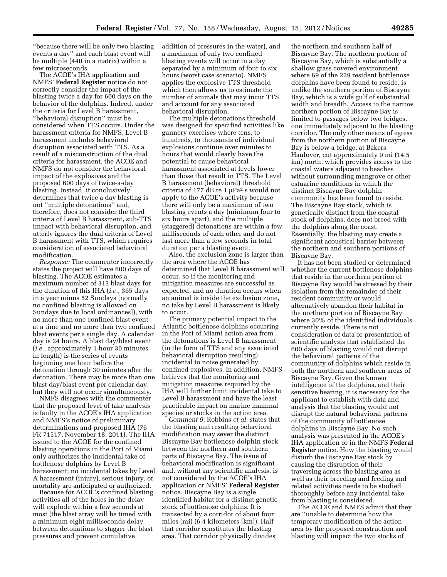''because there will be only two blasting events a day'' and each blast event will be multiple (440 in a matrix) within a few microseconds.

The ACOE's IHA application and NMFS' **Federal Register** notice do not correctly consider the impact of the blasting twice a day for 600 days on the behavior of the dolphins. Indeed, under the criteria for Level B harassment, ''behavioral disruption'' must be considered when TTS occurs. Under the harassment criteria for NMFS, Level B harassment includes behavioral disruption associated with TTS. As a result of a misconstruction of the dual criteria for harassment, the ACOE and NMFS do not consider the behavioral impact of the explosives and the proposed 600 days of twice-a-day blasting. Instead, it conclusively determines that twice a day blasting is not ''multiple detonations'' and, therefore, does not consider the third criteria of Level B harassment, sub-TTS impact with behavioral disruption, and utterly ignores the dual criteria of Level B harassment with TTS, which requires consideration of associated behavioral modification.

*Response:* The commenter incorrectly states the project will have 600 days of blasting. The ACOE estimates a maximum number of 313 blast days for the duration of this IHA (*i.e.,* 365 days in a year minus 52 Sundays [normally no confined blasting is allowed on Sundays due to local ordinances]), with no more than one confined blast event at a time and no more than two confined blast events per a single day. A calendar day is 24 hours. A blast day/blast event (*i.e.,* approximately 1 hour 30 minutes in length) is the series of events beginning one hour before the detonation through 30 minutes after the detonation. There may be more than one blast day/blast event per calendar day, but they will not occur simultaneously.

NMFS disagrees with the commenter that the proposed level of take analysis is faulty in the ACOE's IHA application and NMFS's notice of preliminary determinations and proposed IHA (76 FR 71517, November 18, 2011). The IHA issued to the ACOE for the confined blasting operations in the Port of Miami only authorizes the incidental take of bottlenose dolphins by Level B harassment; no incidental takes by Level A harassment (injury), serious injury, or mortality are anticipated or authorized.

Because for ACOE's confined blasting activities all of the holes in the delay will explode within a few seconds at most (the blast array will be timed with a minimum eight milliseconds delay between detonations to stagger the blast pressures and prevent cumulative

addition of pressures in the water), and a maximum of only two confined blasting events will occur in a day separated by a minimum of four to six hours (worst case scenario). NMFS applies the explosive TTS threshold which then allows us to estimate the number of animals that may incur TTS and account for any associated behavioral disruption.

The multiple detonations threshold was designed for specified activities like gunnery exercises where tens, to hundreds, to thousands of individual explosions continue over minutes to hours that would clearly have the potential to cause behavioral harassment associated at levels lower than those that result in TTS. The Level B harassment (behavioral) threshold criteria of 177 dB re 1  $\mu$ Pa<sup>2</sup> s would not apply to the ACOE's activity because there will only be a maximum of two blasting events a day (minimum four to six hours apart), and the multiple (staggered) detonations are within a few milliseconds of each other and do not last more than a few seconds in total duration per a blasting event.

Also, the exclusion zone is larger than the area where the ACOE has determined that Level B harassment will occur, so if the monitoring and mitigation measures are successful as expected, and no duration occurs when an animal is inside the exclusion zone, no take by Level B harassment is likely to occur.

The primary potential impact to the Atlantic bottlenose dolphins occurring in the Port of Miami action area from the detonations is Level B harassment (in the form of TTS and any associated behavioral disruption resulting) incidental to noise generated by confined explosives. In addition, NMFS believes that the monitoring and mitigation measures required by the IHA will further limit incidental take to Level B harassment and have the least practicable impact on marine mammal species or stocks in the action area.

*Comment 9:* Robbins *et al.* states that the blasting and resulting behavioral modification may sever the distinct Biscayne Bay bottlenose dolphin stock between the northern and southern parts of Biscayne Bay. The issue of behavioral modification is significant and, without any scientific analysis, is not considered by the ACOE's IHA application or NMFS' **Federal Register**  notice. Biscayne Bay is a single identified habitat for a distinct genetic stock of bottlenose dolphins. It is transected by a corridor of about four miles (mi) (6.4 kilometers [km]). Half that corridor constitutes the blasting area. That corridor physically divides

the northern and southern half of Biscayne Bay. The northern portion of Biscayne Bay, which is substantially a shallow grass covered environment where 69 of the 229 resident bottlenose dolphins have been found to reside, is unlike the southern portion of Biscayne Bay, which is a wide gulf of substantial width and breadth. Access to the narrow northern portion of Biscayne Bay is limited to passages below two bridges, one immediately adjacent to the blasting corridor. The only other means of egress from the northern portion of Biscayne Bay is below a bridge, at Bakers Haulover, cut approximately 9 mi (14.5 km) north, which provides access to the coastal waters adjacent to beaches without surrounding mangrove or other estuarine conditions in which the distinct Biscayne Bay dolphin community has been found to reside. The Biscayne Bay stock, which is genetically distinct from the coastal stock of dolphins, does not breed with the dolphins along the coast. Essentially, the blasting may create a significant acoustical barrier between the northern and southern portions of Biscayne Bay.

It has not been studied or determined whether the current bottlenose dolphins that reside in the northern portion of Biscayne Bay would be stressed by their isolation from the remainder of their resident community or would alternatively abandon their habitat in the northern portion of Biscayne Bay where 30% of the identified individuals currently reside. There is not consideration of data or presentation of scientific analysis that established the 600 days of blasting would not disrupt the behavioral patterns of the community of dolphins which reside in both the northern and southern areas of Biscayne Bay. Given the known intelligence of the dolphins, and their sensitive hearing, it is necessary for the applicant to establish with data and analysis that the blasting would not disrupt the natural behavioral patterns of the community of bottlenose dolphins in Biscayne Bay. No such analysis was presented in the ACOE's IHA application or in the NMFS **Federal Register** notice. How the blasting would disturb the Biscayne Bay stock by causing the disruption of their traversing across the blasting area as well as their breeding and feeding and related activities needs to be studied thoroughly before any incidental take from blasting is considered.

The ACOE and NMFS admit that they are ''unable to determine how the temporary modification of the action area by the proposed construction and blasting will impact the two stocks of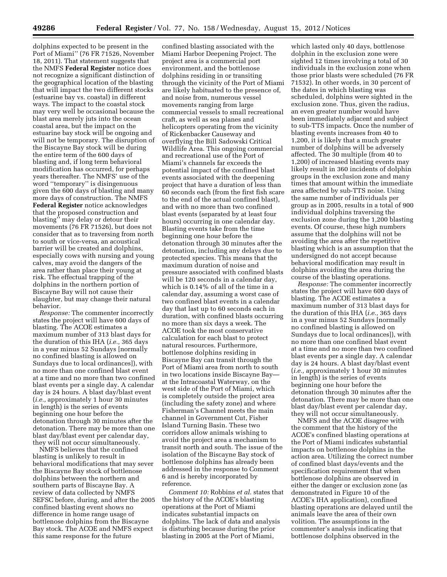dolphins expected to be present in the Port of Miami'' (76 FR 71526, November 18, 2011). That statement suggests that the NMFS **Federal Register** notice does not recognize a significant distinction of the geographical location of the blasting that will impact the two different stocks (estuarine bay vs. coastal) in different ways. The impact to the coastal stock may very well be occasional because the blast area merely juts into the ocean coastal area, but the impact on the estuarine bay stock will be ongoing and will not be temporary. The disruption of the Biscayne Bay stock will be during the entire term of the 600 days of blasting and, if long term behavioral modification has occurred, for perhaps years thereafter. The NMFS' use of the word ''temporary'' is disingenuous given the 600 days of blasting and many more days of construction. The NMFS **Federal Register** notice acknowledges that the proposed construction and blasting'' may delay or detour their movements (76 FR 71526), but does not consider that as to traversing from north to south or vice-versa, an acoustical barrier will be created and dolphins, especially cows with nursing and young calves, may avoid the dangers of the area rather than place their young at risk. The effectual trapping of the dolphins in the northern portion of Biscayne Bay will not cause their slaughter, but may change their natural behavior.

*Response:* The commenter incorrectly states the project will have 600 days of blasting. The ACOE estimates a maximum number of 313 blast days for the duration of this IHA (*i.e.,* 365 days in a year minus 52 Sundays [normally no confined blasting is allowed on Sundays due to local ordinances]), with no more than one confined blast event at a time and no more than two confined blast events per a single day. A calendar day is 24 hours. A blast day/blast event (*i.e.,* approximately 1 hour 30 minutes in length) is the series of events beginning one hour before the detonation through 30 minutes after the detonation. There may be more than one blast day/blast event per calendar day, they will not occur simultaneously.

NMFS believes that the confined blasting is unlikely to result in behavioral modifications that may sever the Biscayne Bay stock of bottlenose dolphins between the northern and southern parts of Biscayne Bay. A review of data collected by NMFS SEFSC before, during, and after the 2005 confined blasting event shows no difference in home range usage of bottlenose dolphins from the Biscayne Bay stock. The ACOE and NMFS expect this same response for the future

confined blasting associated with the Miami Harbor Deepening Project. The project area is a commercial port environment, and the bottlenose dolphins residing in or transiting through the vicinity of the Port of Miami are likely habituated to the presence of, and noise from, numerous vessel movements ranging from large commercial vessels to small recreational craft, as well as sea planes and helicopters operating from the vicinity of Rickenbacker Causeway and overflying the Bill Sadowski Critical Wildlife Area. This ongoing commercial and recreational use of the Port of Miami's channels far exceeds the potential impact of the confined blast events associated with the deepening project that have a duration of less than 60 seconds each (from the first fish scare to the end of the actual confined blast), and with no more than two confined blast events (separated by at least four hours) occurring in one calendar day. Blasting events take from the time beginning one hour before the detonation through 30 minutes after the detonation, including any delays due to protected species. This means that the maximum duration of noise and pressure associated with confined blasts will be 120 seconds in a calendar day, which is 0.14% of all of the time in a calendar day, assuming a worst case of two confined blast events in a calendar day that last up to 60 seconds each in duration, with confined blasts occurring no more than six days a week. The ACOE took the most conservative calculation for each blast to protect natural resources. Furthermore, bottlenose dolphins residing in Biscayne Bay can transit through the Port of Miami area from north to south in two locations inside Biscayne Bay at the Intracoastal Waterway, on the west side of the Port of Miami, which is completely outside the project area (including the safety zone) and where Fisherman's Channel meets the main channel in Government Cut, Fisher Island Turning Basin. These two corridors allow animals wishing to avoid the project area a mechanism to transit north and south. The issue of the isolation of the Biscayne Bay stock of bottlenose dolphins has already been addressed in the response to Comment 6 and is hereby incorporated by reference.

*Comment 10:* Robbins *et al.* states that the history of the ACOE's blasting operations at the Port of Miami indicates substantial impacts on dolphins. The lack of data and analysis is disturbing because during the prior blasting in 2005 at the Port of Miami,

which lasted only 40 days, bottlenose dolphin in the exclusion zone were sighted 12 times involving a total of 30 individuals in the exclusion zone when those prior blasts were scheduled (76 FR 71532). In other words, in 30 percent of the dates in which blasting was scheduled, dolphins were sighted in the exclusion zone. Thus, given the radius, an even greater number would have been immediately adjacent and subject to sub-TTS impacts. Once the number of blasting events increases from 40 to 1,200, it is likely that a much greater number of dolphins will be adversely affected. The 30 multiple (from 40 to 1,200) of increased blasting events may likely result in 360 incidents of dolphin groups in the exclusion zone and many times that amount within the immediate area affected by sub-TTS noise. Using the same number of individuals per group as in 2005, results in a total of 900 individual dolphins traversing the exclusion zone during the 1,200 blasting events. Of course, these high numbers assume that the dolphins will not be avoiding the area after the repetitive blasting which is an assumption that the undersigned do not accept because behavioral modification may result in dolphins avoiding the area during the course of the blasting operations.

*Response:* The commenter incorrectly states the project will have 600 days of blasting. The ACOE estimates a maximum number of 313 blast days for the duration of this IHA (*i.e.,* 365 days in a year minus 52 Sundays [normally no confined blasting is allowed on Sundays due to local ordinances]), with no more than one confined blast event at a time and no more than two confined blast events per a single day. A calendar day is 24 hours. A blast day/blast event (*i.e.,* approximately 1 hour 30 minutes in length) is the series of events beginning one hour before the detonation through 30 minutes after the detonation. There may be more than one blast day/blast event per calendar day, they will not occur simultaneously.

NMFS and the ACOE disagree with the comment that the history of the ACOE's confined blasting operations at the Port of Miami indicates substantial impacts on bottlenose dolphins in the action area. Utilizing the correct number of confined blast days/events and the specification requirement that when bottlenose dolphins are observed in either the danger or exclusion zone (as demonstrated in Figure 10 of the ACOE's IHA application), confined blasting operations are delayed until the animals leave the area of their own volition. The assumptions in the commenter's analysis indicating that bottlenose dolphins observed in the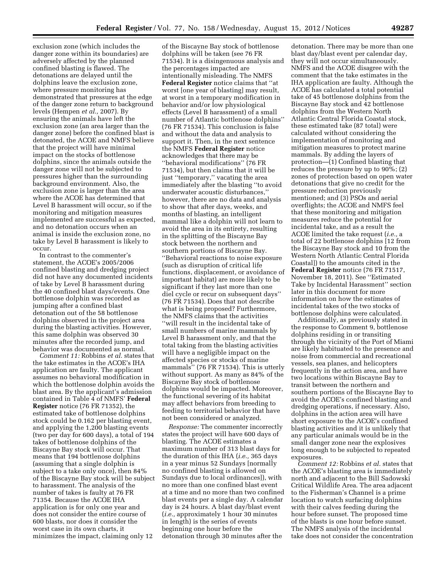exclusion zone (which includes the danger zone within its boundaries) are adversely affected by the planned confined blasting is flawed. The detonations are delayed until the dolphins leave the exclusion zone, where pressure monitoring has demonstrated that pressures at the edge of the danger zone return to background levels (Hempen *et al.,* 2007). By ensuring the animals have left the exclusion zone (an area larger than the danger zone) before the confined blast is detonated, the ACOE and NMFS believe that the project will have minimal impact on the stocks of bottlenose dolphins, since the animals outside the danger zone will not be subjected to pressures higher than the surrounding background environment. Also, the exclusion zone is larger than the area where the ACOE has determined that Level B harassment will occur, so if the monitoring and mitigation measures implemented are successful as expected, and no detonation occurs when an animal is inside the exclusion zone, no take by Level B harassment is likely to occur.

In contrast to the commenter's statement, the ACOE's 2005/2006 confined blasting and dredging project did not have any documented incidents of take by Level B harassment during the 40 confined blast days/events. One bottlenose dolphin was recorded as jumping after a confined blast detonation out of the 58 bottlenose dolphins observed in the project area during the blasting activities. However, this same dolphin was observed 30 minutes after the recorded jump, and behavior was documented as normal.

*Comment 11:* Robbins *et al.* states that the take estimates in the ACOE's IHA application are faulty. The applicant assumes no behavioral modification in which the bottlenose dolphin avoids the blast area. By the applicant's admission contained in Table 4 of NMFS' **Federal Register** notice (76 FR 71352), the estimated take of bottlenose dolphins stock could be 0.162 per blasting event, and applying the 1,200 blasting events (two per day for 600 days), a total of 194 takes of bottlenose dolphins of the Biscayne Bay stock will occur. That means that 194 bottlenose dolphins (assuming that a single dolphin is subject to a take only once), then 84% of the Biscayne Bay stock will be subject to harassment. The analysis of the number of takes is faulty at 76 FR 71354. Because the ACOE IHA application is for only one year and does not consider the entire course of 600 blasts, nor does it consider the worst case in its own charts, it minimizes the impact, claiming only 12

of the Biscayne Bay stock of bottlenose dolphins will be taken (see 76 FR 71534). It is a disingenuous analysis and the percentages impacted are intentionally misleading. The NMFS **Federal Register** notice claims that ''at worst [one year of blasting] may result, at worst in a temporary modification in behavior and/or low physiological effects (Level B harassment) of a small number of Atlantic bottlenose dolphins'' (76 FR 71534). This conclusion is false and without the data and analysis to support it. Then, in the next sentence the NMFS **Federal Register** notice acknowledges that there may be ''behavioral modifications'' (76 FR 71534), but then claims that it will be just ''temporary,'' vacating the area immediately after the blasting ''to avoid underwater acoustic disturbances,'' however, there are no data and analysis to show that after days, weeks, and months of blasting, an intelligent mammal like a dolphin will not learn to avoid the area in its entirety, resulting in the splitting of the Biscayne Bay stock between the northern and southern portions of Biscayne Bay. ''Behavioral reactions to noise exposure (such as disruption of critical life functions, displacement, or avoidance of important habitat) are more likely to be significant if they last more than one diel cycle or recur on subsequent days'' (76 FR 71534). Does that not describe what is being proposed? Furthermore, the NMFS claims that the activities ''will result in the incidental take of small numbers of marine mammals by Level B harassment only, and that the total taking from the blasting activities will have a negligible impact on the affected species or stocks of marine mammals'' (76 FR 71534). This is utterly without support. As many as 84% of the Biscayne Bay stock of bottlenose dolphins would be impacted. Moreover, the functional severing of its habitat may affect behaviors from breeding to feeding to territorial behavior that have not been considered or analyzed.

*Response:* The commenter incorrectly states the project will have 600 days of blasting. The ACOE estimates a maximum number of 313 blast days for the duration of this IHA (*i.e.,* 365 days in a year minus 52 Sundays [normally no confined blasting is allowed on Sundays due to local ordinances]), with no more than one confined blast event at a time and no more than two confined blast events per a single day. A calendar day is 24 hours. A blast day/blast event (*i.e.,* approximately 1 hour 30 minutes in length) is the series of events beginning one hour before the detonation through 30 minutes after the

detonation. There may be more than one blast day/blast event per calendar day, they will not occur simultaneously. NMFS and the ACOE disagree with the comment that the take estimates in the IHA application are faulty. Although the ACOE has calculated a total potential take of 45 bottlenose dolphins from the Biscayne Bay stock and 42 bottlenose dolphins from the Western North Atlantic Central Florida Coastal stock, these estimated take (87 total) were calculated without considering the implementation of monitoring and mitigation measures to protect marine mammals. By adding the layers of protection—(1) Confined blasting that reduces the pressure by up to 90%; (2) zones of protection based on open water detonations that give no credit for the pressure reduction previously mentioned; and (3) PSOs and aerial overflights; the ACOE and NMFS feel that these monitoring and mitigation measures reduce the potential for incidental take, and as a result the ACOE limited the take request (*i.e.,* a total of 22 bottlenose dolphins [12 from the Biscayne Bay stock and 10 from the Western North Atlantic Central Florida Coastal]) to the amounts cited in the **Federal Register** notice (76 FR 71517, November 18, 2011). See ''Estimated Take by Incidental Harassment'' section later in this document for more information on how the estimates of incidental takes of the two stocks of bottlenose dolphins were calculated.

Additionally, as previously stated in the response to Comment 9, bottlenose dolphins residing in or transiting through the vicinity of the Port of Miami are likely habituated to the presence and noise from commercial and recreational vessels, sea planes, and helicopters frequently in the action area, and have two locations within Biscayne Bay to transit between the northern and southern portions of the Biscayne Bay to avoid the ACOE's confined blasting and dredging operations, if necessary. Also, dolphins in the action area will have short exposure to the ACOE's confined blasting activities and it is unlikely that any particular animals would be in the small danger zone near the explosives long enough to be subjected to repeated exposures.

*Comment 12:* Robbins *et al.* states that the ACOE's blasting area is immediately north and adjacent to the Bill Sadowski Critical Wildlife Area. The area adjacent to the Fisherman's Channel is a prime location to watch surfacing dolphins with their calves feeding during the hour before sunset. The proposed time of the blasts is one hour before sunset. The NMFS analysis of the incidental take does not consider the concentration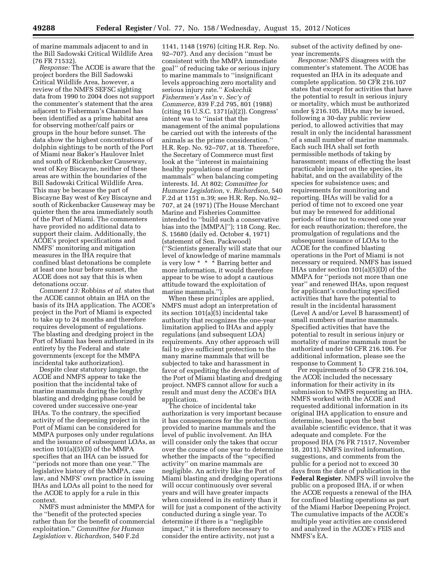of marine mammals adjacent to and in the Bill Sadowski Critical Wildlife Area (76 FR 71532).

*Response:* The ACOE is aware that the project borders the Bill Sadowski Critical Wildlife Area, however, a review of the NMFS SEFSC sighting data from 1990 to 2004 does not support the commenter's statement that the area adjacent to Fisherman's Channel has been identified as a prime habitat area for observing mother/calf pairs or groups in the hour before sunset. The data show the highest concentrations of dolphin sightings to be north of the Port of Miami near Baker's Haulover Inlet and south of Rickenbacker Causeway, west of Key Biscayne, neither of these areas are within the boundaries of the Bill Sadowski Critical Wildlife Area. This may be because the part of Biscayne Bay west of Key Biscayne and south of Rickenbacker Causeway may be quieter then the area immediately south of the Port of Miami. The commenters have provided no additional data to support their claim. Additionally, the ACOE's project specifications and NMFS' monitoring and mitigation measures in the IHA require that confined blast detonations be complete at least one hour before sunset, the ACOE does not say that this is when detonations occur.

*Comment 13:* Robbins *et al.* states that the ACOE cannot obtain an IHA on the basis of its IHA application. The ACOE's project in the Port of Miami is expected to take up to 24 months and therefore requires development of regulations. The blasting and dredging project in the Port of Miami has been authorized in its entirety by the Federal and state governments (except for the MMPA incidental take authorization).

Despite clear statutory language, the ACOE and NMFS appear to take the position that the incidental take of marine mammals during the lengthy blasting and dredging phase could be covered under successive one-year IHAs. To the contrary, the specified activity of the deepening project in the Port of Miami can be considered for MMPA purposes only under regulations and the issuance of subsequent LOAs, as section 101(a)(5)(D) of the MMPA specifies that an IHA can be issued for ''periods not more than one year.'' The legislative history of the MMPA, case law, and NMFS' own practice in issuing IHAs and LOAs all point to the need for the ACOE to apply for a rule in this context.

NMFS must administer the MMPA for the ''benefit of the protected species rather than for the benefit of commercial exploitation.'' *Committee for Human Legislation* v. *Richardson,* 540 F.2d

1141, 1148 (1976) (citing H.R. Rep. No. 92–707). And any decision ''must be consistent with the MMPA immediate goal'' of reducing take or serious injury to marine mammals to ''insignificant levels approaching zero mortality and serious injury rate.'' *Kokechik Fishermen's Ass'n* v. *Sec'y of Commerce,* 839 F.2d 795, 801 (1988) (citing 16 U.S.C. 1371(a)(2)). Congress' intent was to ''insist that the management of the animal populations be carried out with the interests of the animals as the prime consideration.'' H.R. Rep. No. 92–707, at 18. Therefore, the Secretary of Commerce must first look at the ''interest in maintaining healthy populations of marine mammals'' when balancing competing interests. Id. At 802; *Committee for Humane Legislation,* v. *Richardson,* 540 F.2d at 1151 n.39; see H.R. Rep. No.92– 707, at 24 (1971) (The House Merchant Marine and Fisheries Committee intended to ''build such a conservative bias into the [MMPA]''); 118 Cong. Rec. S. 15680 (daily ed. October 4, 1971) (statement of Sen. Packwood) (''Scientists generally will state that our level of knowledge of marine mammals is very low \* \* \* Barring better and more information, it would therefore appear to be wise to adopt a cautious attitude toward the exploitation of marine mammals.'').

When these principles are applied, NMFS must adopt an interpretation of its section 101(a)(5) incidental take authority that recognizes the one-year limitation applied to IHAs and apply regulations (and subsequent LOA) requirements. Any other approach will fail to give sufficient protection to the many marine mammals that will be subjected to take and harassment in favor of expediting the development of the Port of Miami blasting and dredging project. NMFS cannot allow for such a result and must deny the ACOE's IHA application.

The choice of incidental take authorization is very important because it has consequences for the protection provided to marine mammals and the level of public involvement. An IHA will consider only the takes that occur over the course of one year to determine whether the impacts of the ''specified activity'' on marine mammals are negligible. An activity like the Port of Miami blasting and dredging operations will occur continuously over several years and will have greater impacts when considered in its entirety than it will for just a component of the activity conducted during a single year. To determine if there is a ''negligible impact,'' it is therefore necessary to consider the entire activity, not just a

subset of the activity defined by oneyear increments.

*Response:* NMFS disagrees with the commenter's statement. The ACOE has requested an IHA in its adequate and complete application. 50 CFR 216.107 states that except for activities that have the potential to result in serious injury or mortality, which must be authorized under § 216.105, IHAs may be issued, following a 30-day public review period, to allowed activities that may result in only the incidental harassment of a small number of marine mammals. Each such IHA shall set forth permissible methods of taking by harassment; means of effecting the least practicable impact on the species, its habitat, and on the availability of the species for subsistence uses; and requirements for monitoring and reporting. IHAs will be valid for a period of time not to exceed one year but may be renewed for additional periods of time not to exceed one year for each reauthorization; therefore, the promulgation of regulations and the subsequent issuance of LOAs to the ACOE for the confined blasting operations in the Port of Miami is not necessary or required. NMFS has issued IHAs under section 101(a)(5)(D) of the MMPA for ''periods not more than one year'' and renewed IHAs, upon request for applicant's conducting specified activities that have the potential to result in the incidental harassment (Level A and/or Level B harassment) of small numbers of marine mammals. Specified activities that have the potential to result in serious injury or mortality of marine mammals must be authorized under 50 CFR 216.106. For additional information, please see the response to Comment 1.

Per requirements of 50 CFR 216.104, the ACOE included the necessary information for their activity in its submission to NMFS requesting an IHA. NMFS worked with the ACOE and requested additional information in its original IHA application to ensure and determine, based upon the best available scientific evidence, that it was adequate and complete. For the proposed IHA (76 FR 71517, November 18, 2011), NMFS invited information, suggestions, and comments from the public for a period not to exceed 30 days from the date of publication in the **Federal Register**. NMFS will involve the public on a proposed IHA, if or when the ACOE requests a renewal of the IHA for confined blasting operations as part of the Miami Harbor Deepening Project. The cumulative impacts of the ACOE's multiple year activities are considered and analyzed in the ACOE's FEIS and NMFS's EA.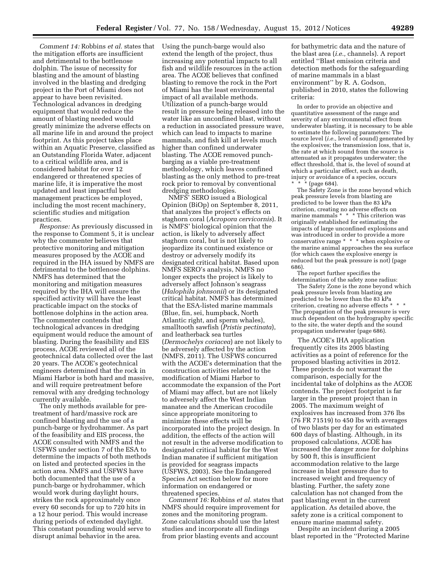*Comment 14:* Robbins *et al.* states that the mitigation efforts are insufficient and detrimental to the bottlenose dolphin. The issue of necessity for blasting and the amount of blasting involved in the blasting and dredging project in the Port of Miami does not appear to have been revisited. Technological advances in dredging equipment that would reduce the amount of blasting needed would greatly minimize the adverse effects on all marine life in and around the project footprint. As this project takes place within an Aquatic Preserve, classified as an Outstanding Florida Water, adjacent to a critical wildlife area, and is considered habitat for over 12 endangered or threatened species of marine life, it is imperative the most updated and least impactful best management practices be employed, including the most recent machinery, scientific studies and mitigation practices.

*Response:* As previously discussed in the response to Comment 5, it is unclear why the commenter believes that protective monitoring and mitigation measures proposed by the ACOE and required in the IHA issued by NMFS are detrimental to the bottlenose dolphins. NMFS has determined that the monitoring and mitigation measures required by the IHA will ensure the specified activity will have the least practicable impact on the stocks of bottlenose dolphins in the action area. The commenter contends that technological advances in dredging equipment would reduce the amount of blasting. During the feasibility and EIS process, ACOE reviewed all of the geotechnical data collected over the last 20 years. The ACOE's geotechnical engineers determined that the rock in Miami Harbor is both hard and massive, and will require pretreatment before removal with any dredging technology currently available.

The only methods available for pretreatment of hard/massive rock are confined blasting and the use of a punch-barge or hydrohammer. As part of the feasibility and EIS process, the ACOE consulted with NMFS and the USFWS under section 7 of the ESA to determine the impacts of both methods on listed and protected species in the action area. NMFS and USFWS have both documented that the use of a punch-barge or hydrohammer, which would work during daylight hours, strikes the rock approximately once every 60 seconds for up to 720 hits in a 12 hour period. This would increase during periods of extended daylight. This constant pounding would serve to disrupt animal behavior in the area.

Using the punch-barge would also extend the length of the project, thus increasing any potential impacts to all fish and wildlife resources in the action area. The ACOE believes that confined blasting to remove the rock in the Port of Miami has the least environmental impact of all available methods. Utilization of a punch-barge would result in pressure being released into the water like an unconfined blast, without a reduction in associated pressure wave, which can lead to impacts to marine mammals, and fish kill at levels much higher than confined underwater blasting. The ACOE removed punchbarging as a viable pre-treatment methodology, which leaves confined blasting as the only method to pre-treat rock prior to removal by conventional dredging methodologies.

NMFS' SERO issued a Biological Opinion (BiOp) on September 8, 2011, that analyzes the project's effects on staghorn coral (*Acropora cervicornis*). It is NMFS' biological opinion that the action, is likely to adversely affect staghorn coral, but is not likely to jeopardize its continued existence or destroy or adversely modify its designated critical habitat. Based upon NMFS SERO's analysis, NMFS no longer expects the project is likely to adversely affect Johnson's seagrass (*Halophila johnsonii*) or its designated critical habitat. NMFS has determined that the ESA-listed marine mammals (Blue, fin, sei, humpback, North Atlantic right, and sperm whales), smalltooth sawfish (*Pristis pectinata*), and leatherback sea turtles (*Dermochelys coriacea*) are not likely to be adversely affected by the action (NMFS, 2011). The USFWS concurred with the ACOE's determination that the construction activities related to the modification of Miami Harbor to accommodate the expansion of the Port of Miami may affect, but are not likely to adversely affect the West Indian manatee and the American crocodile since appropriate monitoring to minimize these effects will be incorporated into the project design. In addition, the effects of the action will not result in the adverse modification to designated critical habitat for the West Indian manatee if sufficient mitigation is provided for seagrass impacts (USFWS, 2003). See the Endangered Species Act section below for more information on endangered or threatened species.

*Comment 16:* Robbins *et al.* states that NMFS should require improvement for zones and the monitoring program. Zone calculations should use the latest studies and incorporate all findings from prior blasting events and account

for bathymetric data and the nature of the blast area (*i.e.,* channels). A report entitled ''Blast emission criteria and detection methods for the safeguarding of marine mammals in a blast environment'' by R. A. Godson, published in 2010, states the following criteria:

In order to provide an objective and quantitative assessment of the range and severity of any environmental effect from underwater blasting, it is necessary to be able to estimate the following parameters: The source level (*i.e.,* level of sound) generated by the explosives; the transmission loss, that is, the rate at which sound from the source is attenuated as it propagates underwater; the effect threshold, that is, the level of sound at which a particular effect, such as death, injury or avoidance of a species, occurs  $*$  (page 684).

The Safety Zone is the zone beyond which peak pressure levels from blasting are predicted to be lower than the 83 kPa criterion, creating no adverse effects on marine mammals \* \* \* This criterion was originally established for estimating the impacts of large unconfined explosions and was introduced in order to provide a more conservative range \* \* \* when explosive or the marine animal approaches the sea surface (for which cases the explosive energy is reduced but the peak pressure is not) (page 686).

The report further specifies the determination of the safety zone radius:

The Safety Zone is the zone beyond which peak pressure levels from blasting are predicted to be lower than the 83 kPa criterion, creating no adverse effects \* The propagation of the peak pressure is very much dependent on the hydrography specific to the site, the water depth and the sound propagation underwater (page 686).

The ACOE's IHA application frequently cites its 2005 blasting activities as a point of reference for the proposed blasting activities in 2012. These projects do not warrant the comparison, especially for the incidental take of dolphins as the ACOE contends. The project footprint is far larger in the present project than in 2005. The maximum weight of explosives has increased from 376 lbs (76 FR 71519) to 450 lbs with averages of two blasts per day for an estimated 600 days of blasting. Although, in its proposed calculations, ACOE has increased the danger zone for dolphins by 500 ft, this is insufficient accommodation relative to the large increase in blast pressure due to increased weight and frequency of blasting. Further, the safety zone calculation has not changed from the past blasting event in the current application. As detailed above, the safety zone is a critical component to ensure marine mammal safety.

Despite an incident during a 2005 blast reported in the ''Protected Marine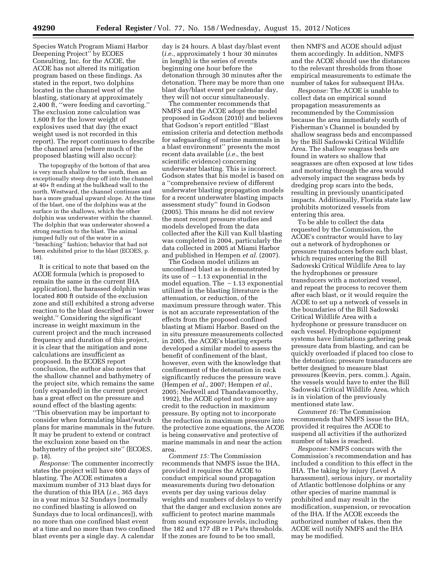Species Watch Program Miami Harbor Deepening Project'' by ECOES Consulting, Inc. for the ACOE, the ACOE has not altered its mitigation program based on these findings. As stated in the report, two dolphins located in the channel west of the blasting, stationary at approximately 2,400 ft, ''were feeding and cavorting.'' The exclusion zone calculation was 1,600 ft for the lower weight of explosives used that day (the exact weight used is not recorded in this report). The report continues to describe the channel area (where much of the proposed blasting will also occur):

The topography of the bottom of that area is very much shallow to the south, then an exceptionally steep drop off into the channel at 40+ ft ending at the bulkhead wall to the north. Westward, the channel continues and has a more gradual upward slope. At the time of the blast, one of the dolphins was at the surface in the shallows, which the other dolphin was underwater within the channel. The dolphin that was underwater showed a strong reaction to the blast. The animal jumped fully out of the water in a ''breaching'' fashion; behavior that had not been exhibited prior to the blast (ECOES, p. 18).

It is critical to note that based on the ACOE formula (which is proposed to remain the same in the current IHA application), the harassed dolphin was located 800 ft outside of the exclusion zone and still exhibited a strong adverse reaction to the blast described as ''lower weight.'' Considering the significant increase in weight maximum in the current project and the much increased frequency and duration of this project, it is clear that the mitigation and zone calculations are insufficient as proposed. In the ECOES report conclusion, the author also notes that the shallow channel and bathymetry of the project site, which remains the same (only expanded) in the current project has a great effect on the pressure and sound effect of the blasting agents: ''This observation may be important to consider when formulating blast/watch plans for marine mammals in the future. It may be prudent to extend or contract the exclusion zone based on the bathymetry of the project site'' (ECOES, p. 18).

*Response:* The commenter incorrectly states the project will have 600 days of blasting. The ACOE estimates a maximum number of 313 blast days for the duration of this IHA (*i.e.,* 365 days in a year minus 52 Sundays [normally no confined blasting is allowed on Sundays due to local ordinances]), with no more than one confined blast event at a time and no more than two confined blast events per a single day. A calendar

day is 24 hours. A blast day/blast event (*i.e.,* approximately 1 hour 30 minutes in length) is the series of events beginning one hour before the detonation through 30 minutes after the detonation. There may be more than one blast day/blast event per calendar day, they will not occur simultaneously.

The commenter recommends that NMFS and the ACOE adopt the model proposed in Godson (2010) and believes that Godson's report entitled ''Blast emission criteria and detection methods for safeguarding of marine mammals in a blast environment'' presents the most recent data available (*i.e.,* the best scientific evidence) concerning underwater blasting. This is incorrect. Godson states that his model is based on a ''comprehensive review of different underwater blasting propagation models for a recent underwater blasting impacts assessment study'' found in Godson (2005). This means he did not review the most recent pressure studies and models developed from the data collected after the Kill van Kull blasting was completed in 2004, particularly the data collected in 2005 at Miami Harbor and published in Hempen *et al.* (2007).

The Godson model utilizes an unconfined blast as is demonstrated by its use of  $-1.13$  exponential in the model equation. The  $-1.13$  exponential utilized in the blasting literature is the attenuation, or reduction, of the maximum pressure through water. This is not an accurate representation of the effects from the proposed confined blasting at Miami Harbor. Based on the in situ pressure measurements collected in 2005, the ACOE's blasting experts developed a similar model to assess the benefit of confinement of the blast, however, even with the knowledge that confinement of the detonation in rock significantly reduces the pressure wave (Hempen *et al.,* 2007; Hempen *et al.,*  2005; Nedwell and Thandavamoorthy, 1992), the ACOE opted not to give any credit to the reduction in maximum pressure. By opting not to incorporate the reduction in maximum pressure into the protective zone equations, the ACOE is being conservative and protective of marine mammals in and near the action area.

*Comment 15:* The Commission recommends that NMFS issue the IHA, provided it requires the ACOE to conduct empirical sound propagation measurements during two detonation events per day using various delay weights and numbers of delays to verify that the danger and exclusion zones are sufficient to protect marine mammals from sound exposure levels, including the 182 and 177 dB re 1 Pa2s thresholds. If the zones are found to be too small,

then NMFS and ACOE should adjust them accordingly. In addition, NMFS and the ACOE should use the distances to the relevant thresholds from those empirical measurements to estimate the number of takes for subsequent IHAs.

*Response:* The ACOE is unable to collect data on empirical sound propagation measurements as recommended by the Commission because the area immediately south of Fisherman's Channel is bounded by shallow seagrass beds and encompassed by the Bill Sadowski Critical Wildlife Area. The shallow seagrass beds are found in waters so shallow that seagrasses are often exposed at low tides and motoring through the area would adversely impact the seagrass beds by dredging prop scars into the beds, resulting in previously unanticipated impacts. Additionally, Florida state law prohibits motorized vessels from entering this area.

To be able to collect the data requested by the Commission, the ACOE's contractor would have to lay out a network of hydrophones or pressure transducers before each blast, which requires entering the Bill Sadowski Critical Wildlife Area to lay the hydrophones or pressure transducers with a motorized vessel, and repeat the process to recover them after each blast, or it would require the ACOE to set up a network of vessels in the boundaries of the Bill Sadowski Critical Wildlife Area with a hydrophone or pressure transducer on each vessel. Hydrophone equipment systems have limitations gathering peak pressure data from blasting, and can be quickly overloaded if placed too close to the detonation; pressure transducers are better designed to measure blast pressures (Keevin, pers. comm.). Again, the vessels would have to enter the Bill Sadowski Critical Wildlife Area, which is in violation of the previously mentioned state law.

*Comment 16:* The Commission recommends that NMFS issue the IHA, provided it requires the ACOE to suspend all activities if the authorized number of takes is reached.

*Response:* NMFS concurs with the Commission's recommendation and has included a condition to this effect in the IHA. The taking by injury (Level A harassment), serious injury, or mortality of Atlantic bottlenose dolphins or any other species of marine mammal is prohibited and may result in the modification, suspension, or revocation of the IHA. If the ACOE exceeds the authorized number of takes, then the ACOE will notify NMFS and the IHA may be modified.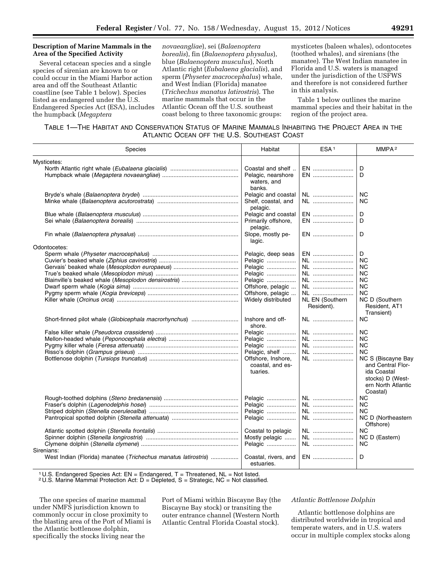# **Description of Marine Mammals in the Area of the Specified Activity**

Several cetacean species and a single species of sirenian are known to or could occur in the Miami Harbor action area and off the Southeast Atlantic coastline (see Table 1 below). Species listed as endangered under the U.S. Endangered Species Act (ESA), includes the humpback (*Megaptera* 

*novaeangliae*), sei (*Balaenoptera borealis*), fin (*Balaenoptera physalus*), blue (*Balaenoptera musculus*), North Atlantic right (*Eubalaena glacialis*), and sperm (*Physeter macrocephalus*) whale, and West Indian (Florida) manatee (*Trichechus manatus latirostris*). The marine mammals that occur in the Atlantic Ocean off the U.S. southeast coast belong to three taxonomic groups:

mysticetes (baleen whales), odontocetes (toothed whales), and sirenians (the manatee). The West Indian manatee in Florida and U.S. waters is managed under the jurisdiction of the USFWS and therefore is not considered further in this analysis.

Table 1 below outlines the marine mammal species and their habitat in the region of the project area.

# TABLE 1—THE HABITAT AND CONSERVATION STATUS OF MARINE MAMMALS INHABITING THE PROJECT AREA IN THE ATLANTIC OCEAN OFF THE U.S. SOUTHEAST COAST

| <b>Species</b>                                                               | Habitat                                            | ESA <sup>1</sup>              | MMPA <sup>2</sup>                                                                                            |
|------------------------------------------------------------------------------|----------------------------------------------------|-------------------------------|--------------------------------------------------------------------------------------------------------------|
| Mysticetes:                                                                  |                                                    |                               |                                                                                                              |
|                                                                              | Coastal and shelf                                  | EN                            | D                                                                                                            |
|                                                                              | Pelagic, nearshore                                 | EN                            | D                                                                                                            |
|                                                                              | waters, and<br>banks.                              |                               |                                                                                                              |
|                                                                              | Pelagic and coastal                                | NL                            | <b>NC</b>                                                                                                    |
|                                                                              | Shelf, coastal, and<br>pelagic.                    | NL                            | <b>NC</b>                                                                                                    |
|                                                                              | Pelagic and coastal                                | EN                            | D                                                                                                            |
|                                                                              | Primarily offshore,<br>pelagic.                    | EN                            | D                                                                                                            |
|                                                                              | Slope, mostly pe-<br>lagic.                        | EN                            | D                                                                                                            |
| Odontocetes:                                                                 |                                                    |                               |                                                                                                              |
|                                                                              | Pelagic, deep seas                                 | EN                            | D                                                                                                            |
|                                                                              | Pelagic                                            | NL                            | <b>NC</b>                                                                                                    |
|                                                                              | Pelagic                                            | NL                            | ΝC                                                                                                           |
|                                                                              | Pelagic                                            | NL                            | <b>NC</b>                                                                                                    |
|                                                                              | Pelagic                                            | NL                            | <b>NC</b>                                                                                                    |
|                                                                              | Offshore, pelagic                                  | NL                            | <b>NC</b>                                                                                                    |
|                                                                              | Offshore, pelagic                                  | NL                            | <b>NC</b>                                                                                                    |
|                                                                              | Widely distributed                                 | NL EN (Southern<br>Resident). | NC D (Southern<br>Resident, AT1<br>Transient)                                                                |
| Short-finned pilot whale (Globicephala macrorhynchus)                        | Inshore and off-<br>shore.                         | NL                            | <b>NC</b>                                                                                                    |
|                                                                              | Pelagic                                            | NL                            | <b>NC</b>                                                                                                    |
|                                                                              | Pelagic                                            | NL                            | <b>NC</b>                                                                                                    |
|                                                                              | Pelagic                                            | NL                            | <b>NC</b>                                                                                                    |
|                                                                              | Pelagic, shelf                                     | NL                            | <b>NC</b>                                                                                                    |
|                                                                              | Offshore, Inshore,<br>coastal, and es-<br>tuaries. | NL                            | NC S (Biscayne Bay<br>and Central Flor-<br>ida Coastal<br>stocks) D (West-<br>ern North Atlantic<br>Coastal) |
|                                                                              | Pelagic                                            | NL                            | <b>NC</b>                                                                                                    |
|                                                                              | Pelagic                                            | NL                            | <b>NC</b>                                                                                                    |
|                                                                              | Pelagic                                            | NL                            | <b>NC</b>                                                                                                    |
|                                                                              | Pelagic                                            | NL                            | NC D (Northeastern<br>Offshore)                                                                              |
|                                                                              | Coastal to pelagic                                 | NL                            | <b>NC</b>                                                                                                    |
|                                                                              | Mostly pelagic                                     | NL                            | NC D (Eastern)                                                                                               |
|                                                                              | Pelagic                                            | NL                            | <b>NC</b>                                                                                                    |
| Sirenians:<br>West Indian (Florida) manatee (Trichechus manatus latirostris) | Coastal, rivers, and<br>estuaries.                 | EN                            | D                                                                                                            |

<sup>1</sup> U.S. Endangered Species Act:  $EN = Endangered$ ,  $T = Threatened$ ,  $NL = Not listed$ .

<sup>2</sup> U.S. Marine Mammal Protection Act:  $D = D$ epleted,  $S =$  Strategic, NC = Not classified.

The one species of marine mammal under NMFS jurisdiction known to commonly occur in close proximity to the blasting area of the Port of Miami is the Atlantic bottlenose dolphin, specifically the stocks living near the

Port of Miami within Biscayne Bay (the Biscayne Bay stock) or transiting the outer entrance channel (Western North Atlantic Central Florida Coastal stock).

## *Atlantic Bottlenose Dolphin*

Atlantic bottlenose dolphins are distributed worldwide in tropical and temperate waters, and in U.S. waters occur in multiple complex stocks along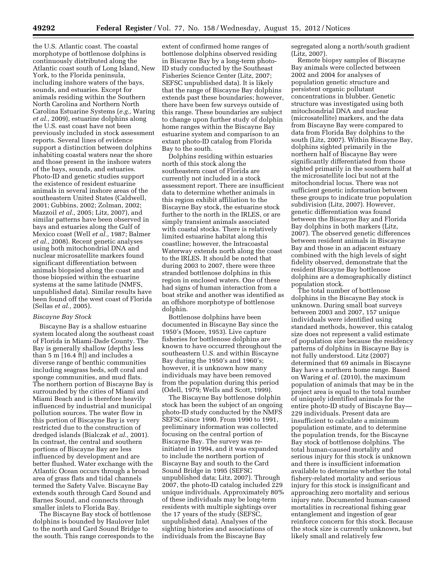the U.S. Atlantic coast. The coastal morphotype of bottlenose dolphins is continuously distributed along the Atlantic coast south of Long Island, New York, to the Florida peninsula, including inshore waters of the bays, sounds, and estuaries. Except for animals residing within the Southern North Carolina and Northern North Carolina Estuarine Systems (*e.g.,* Waring *et al.,* 2009), estuarine dolphins along the U.S. east coast have not been previously included in stock assessment reports. Several lines of evidence support a distinction between dolphins inhabiting coastal waters near the shore and those present in the inshore waters of the bays, sounds, and estuaries. Photo-ID and genetic studies support the existence of resident estuarine animals in several inshore areas of the southeastern United States (Caldwell, 2001; Gubbins, 2002; Zolman, 2002; Mazzoil *et al.,* 2005; Litz, 2007), and similar patterns have been observed in bays and estuaries along the Gulf of Mexico coast (Well *et al.,* 1987; Balmer *et al.,* 2008). Recent genetic analyses using both mitochondrial DNA and nuclear microsatellite markers found significant differentiation between animals biopsied along the coast and those biopsied within the estuarine systems at the same latitude (NMFS, unpublished data). Similar results have been found off the west coast of Florida (Sellas *et al.,* 2005).

#### *Biscayne Bay Stock*

Biscayne Bay is a shallow estuarine system located along the southeast coast of Florida in Miami-Dade County. The Bay is generally shallow (depths less than 5 m [16.4 ft]) and includes a diverse range of benthic communities including seagrass beds, soft coral and sponge communities, and mud flats. The northern portion of Biscayne Bay is surrounded by the cities of Miami and Miami Beach and is therefore heavily influenced by industrial and municipal pollution sources. The water flow in this portion of Biscayne Bay is very restricted due to the construction of dredged islands (Bialczak *et al.,* 2001). In contrast, the central and southern portions of Biscayne Bay are less influenced by development and are better flushed. Water exchange with the Atlantic Ocean occurs through a broad area of grass flats and tidal channels termed the Safety Valve. Biscayne Bay extends south through Card Sound and Barnes Sound, and connects through smaller inlets to Florida Bay.

The Biscayne Bay stock of bottlenose dolphins is bounded by Haulover Inlet to the north and Card Sound Bridge to the south. This range corresponds to the

extent of confirmed home ranges of bottlenose dolphins observed residing in Biscayne Bay by a long-term photo-ID study conducted by the Southeast Fisheries Science Center (Litz, 2007; SEFSC unpublished data). It is likely that the range of Biscayne Bay dolphins extends past these boundaries; however, there have been few surveys outside of this range. These boundaries are subject to change upon further study of dolphin home ranges within the Biscayne Bay estuarine system and comparison to an extant photo-ID catalog from Florida Bay to the south.

Dolphins residing within estuaries north of this stock along the southeastern coast of Florida are currently not included in a stock assessment report. There are insufficient data to determine whether animals in this region exhibit affiliation to the Biscayne Bay stock, the estuarine stock further to the north in the IRLES, or are simply transient animals associated with coastal stocks. There is relatively limited estuarine habitat along this coastline; however, the Intracoastal Waterway extends north along the coast to the IRLES. It should be noted that during 2003 to 2007, there were three stranded bottlenose dolphins in this region in enclosed waters. One of these had signs of human interaction from a boat strike and another was identified as an offshore morphotype of bottlenose dolphin.

Bottlenose dolphins have been documented in Biscayne Bay since the 1950's (Moore, 1953). Live capture fisheries for bottlenose dolphins are known to have occurred throughout the southeastern U.S. and within Biscayne Bay during the 1950's and 1960's; however, it is unknown how many individuals may have been removed from the population during this period (Odell, 1979; Wells and Scott, 1999).

The Biscayne Bay bottlenose dolphin stock has been the subject of an ongoing photo-ID study conducted by the NMFS SEFSC since 1990. From 1990 to 1991, preliminary information was collected focusing on the central portion of Biscayne Bay. The survey was reinitiated in 1994, and it was expanded to include the northern portion of Biscayne Bay and south to the Card Sound Bridge in 1995 (SEFSC unpublished data; Litz, 2007). Through 2007, the photo-ID catalog included 229 unique individuals. Approximately 80% of these individuals may be long-term residents with multiple sightings over the 17 years of the study (SEFSC, unpublished data). Analyses of the sighting histories and associations of individuals from the Biscayne Bay

segregated along a north/south gradient (Litz, 2007).

Remote biopsy samples of Biscayne Bay animals were collected between 2002 and 2004 for analyses of population genetic structure and persistent organic pollutant concentrations in blubber. Genetic structure was investigated using both mitochondrial DNA and nuclear (microsatellite) markers, and the data from Biscayne Bay were compared to data from Florida Bay dolphins to the south (Litz, 2007). Within Biscayne Bay, dolphins sighted primarily in the northern half of Biscayne Bay were significantly differentiated from those sighted primarily in the southern half at the microsatellite loci but not at the mitochondrial locus. There was not sufficient genetic information between these groups to indicate true population subdivision (Litz, 2007). However, genetic differentiation was found between the Biscayne Bay and Florida Bay dolphins in both markers (Litz, 2007). The observed genetic differences between resident animals in Biscayne Bay and those in an adjacent estuary combined with the high levels of sight fidelity observed, demonstrate that the resident Biscayne Bay bottlenose dolphins are a demographically distinct population stock.

The total number of bottlenose dolphins in the Biscayne Bay stock is unknown. During small boat surveys between 2003 and 2007, 157 unique individuals were identified using standard methods, however, this catalog size does not represent a valid estimate of population size because the residency patterns of dolphins in Biscayne Bay is not fully understood. Litz (2007) determined that 69 animals in Biscayne Bay have a northern home range. Based on Waring *et al.* (2010), the maximum population of animals that may be in the project area is equal to the total number of uniquely identified animals for the entire photo-ID study of Biscayne Bay— 229 individuals. Present data are insufficient to calculate a minimum population estimate, and to determine the population trends, for the Biscayne Bay stock of bottlenose dolphins. The total human-caused mortality and serious injury for this stock is unknown and there is insufficient information available to determine whether the total fishery-related mortality and serious injury for this stock is insignificant and approaching zero mortality and serious injury rate. Documented human-caused mortalities in recreational fishing gear entanglement and ingestion of gear reinforce concern for this stock. Because the stock size is currently unknown, but likely small and relatively few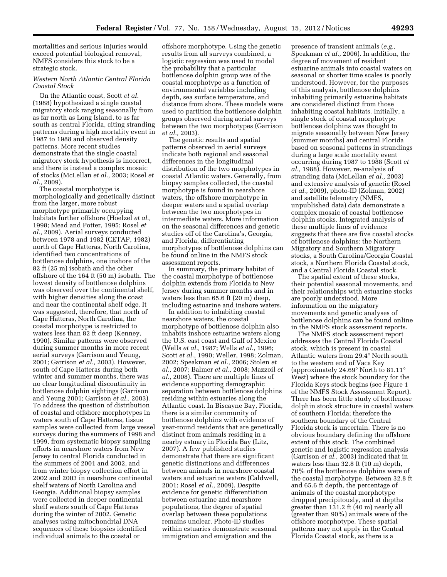mortalities and serious injuries would exceed potential biological removal, NMFS considers this stock to be a strategic stock.

# *Western North Atlantic Central Florida Coastal Stock*

On the Atlantic coast, Scott *et al.*  (1988) hypothesized a single coastal migratory stock ranging seasonally from as far north as Long Island, to as far south as central Florida, citing stranding patterns during a high mortality event in 1987 to 1988 and observed density patterns. More recent studies demonstrate that the single coastal migratory stock hypothesis is incorrect, and there is instead a complex mosaic of stocks (McLellan *et al.,* 2003; Rosel *et al.,* 2009).

The coastal morphotype is morphologically and genetically distinct from the larger, more robust morphotype primarily occupying habitats further offshore (Hoelzel *et al.,*  1998; Mead and Potter, 1995; Rosel *et al.,* 2009). Aerial surveys conducted between 1978 and 1982 (CETAP, 1982) north of Cape Hatteras, North Carolina, identified two concentrations of bottlenose dolphins, one inshore of the 82 ft (25 m) isobath and the other offshore of the 164 ft (50 m) isobath. The lowest density of bottlenose dolphins was observed over the continental shelf, with higher densities along the coast and near the continental shelf edge. It was suggested, therefore, that north of Cape Hatteras, North Carolina, the coastal morphotype is restricted to waters less than 82 ft deep (Kenney, 1990). Similar patterns were observed during summer months in more recent aerial surveys (Garrison and Yeung, 2001; Garrison *et al.,* 2003). However, south of Cape Hatteras during both winter and summer months, there was no clear longitudinal discontinuity in bottlenose dolphin sightings (Garrison and Yeung 2001; Garrison *et al.,* 2003). To address the question of distribution of coastal and offshore morphotypes in waters south of Cape Hatteras, tissue samples were collected from large vessel surveys during the summers of 1998 and 1999, from systematic biopsy sampling efforts in nearshore waters from New Jersey to central Florida conducted in the summers of 2001 and 2002, and from winter biopsy collection effort in 2002 and 2003 in nearshore continental shelf waters of North Carolina and Georgia. Additional biopsy samples were collected in deeper continental shelf waters south of Cape Hatteras during the winter of 2002. Genetic analyses using mitochondrial DNA sequences of these biopsies identified individual animals to the coastal or

offshore morphotype. Using the genetic results from all surveys combined, a logistic regression was used to model the probability that a particular bottlenose dolphin group was of the coastal morphotype as a function of environmental variables including depth, sea surface temperature, and distance from shore. These models were used to partition the bottlenose dolphin groups observed during aerial surveys between the two morphotypes (Garrison *et al.,* 2003).

The genetic results and spatial patterns observed in aerial surveys indicate both regional and seasonal differences in the longitudinal distribution of the two morphotypes in coastal Atlantic waters. Generally, from biopsy samples collected, the coastal morphotype is found in nearshore waters, the offshore morphotype in deeper waters and a spatial overlap between the two morphotypes in intermediate waters. More information on the seasonal differences and genetic studies off of the Carolina's, Georgia, and Florida, differentiating morphotypes of bottlenose dolphins can be found online in the NMFS stock assessment reports.

In summary, the primary habitat of the coastal morphotype of bottlenose dolphin extends from Florida to New Jersey during summer months and in waters less than 65.6 ft (20 m) deep, including estuarine and inshore waters.

In addition to inhabiting coastal nearshore waters, the coastal morphotype of bottlenose dolphin also inhabits inshore estuarine waters along the U.S. east coast and Gulf of Mexico (Wells *et al.,* 1987; Wells *et al.,* 1996; Scott *et al.,* 1990; Weller, 1998; Zolman, 2002; Speakman *et al.,* 2006; Stolen *et al.,* 2007; Balmer *et al.,* 2008; Mazzoil *et al.,* 2008). There are multiple lines of evidence supporting demographic separation between bottlenose dolphins residing within estuaries along the Atlantic coast. In Biscayne Bay, Florida, there is a similar community of bottlenose dolphins with evidence of year-round residents that are genetically distinct from animals residing in a nearby estuary in Florida Bay (Litz, 2007). A few published studies demonstrate that there are significant genetic distinctions and differences between animals in nearshore coastal waters and estuarine waters (Caldwell, 2001; Rosel *et al.,* 2009). Despite evidence for genetic differentiation between estuarine and nearshore populations, the degree of spatial overlap between these populations remains unclear. Photo-ID studies within estuaries demonstrate seasonal immigration and emigration and the

presence of transient animals (*e.g.,*  Speakman *et al.,* 2006). In addition, the degree of movement of resident estuarine animals into coastal waters on seasonal or shorter time scales is poorly understood. However, for the purposes of this analysis, bottlenose dolphins inhabiting primarily estuarine habitats are considered distinct from those inhabiting coastal habitats. Initially, a single stock of coastal morphotype bottlenose dolphins was thought to migrate seasonally between New Jersey (summer months) and central Florida based on seasonal patterns in strandings during a large scale mortality event occurring during 1987 to 1988 (Scott *et al.,* 1988). However, re-analysis of stranding data (McLellan *et al.,* 2003) and extensive analysis of genetic (Rosel *et al.,* 2009), photo-ID (Zolman, 2002) and satellite telemetry (NMFS, unpublished data) data demonstrate a complex mosaic of coastal bottlenose dolphin stocks. Integrated analysis of these multiple lines of evidence suggests that there are five coastal stocks of bottlenose dolphins: the Northern Migratory and Southern Migratory stocks, a South Carolina/Georgia Coastal stock, a Northern Florida Coastal stock, and a Central Florida Coastal stock.

The spatial extent of these stocks, their potential seasonal movements, and their relationships with estuarine stocks are poorly understood. More information on the migratory movements and genetic analyses of bottlenose dolphins can be found online in the NMFS stock assessment reports.

The NMFS stock assessment report addresses the Central Florida Coastal stock, which is present in coastal Atlantic waters from 29.4° North south to the western end of Vaca Key (approximately 24.69° North to 81.11° West) where the stock boundary for the Florida Keys stock begins (see Figure 1 of the NMFS Stock Assessment Report). There has been little study of bottlenose dolphin stock structure in coastal waters of southern Florida; therefore the southern boundary of the Central Florida stock is uncertain. There is no obvious boundary defining the offshore extent of this stock. The combined genetic and logistic regression analysis (Garrison *et al.,* 2003) indicated that in waters less than 32.8 ft (10 m) depth, 70% of the bottlenose dolphins were of the coastal morphotype. Between 32.8 ft and 65.6 ft depth, the percentage of animals of the coastal morphotype dropped precipitously, and at depths greater than 131.2 ft (40 m) nearly all (greater than 90%) animals were of the offshore morphotype. These spatial patterns may not apply in the Central Florida Coastal stock, as there is a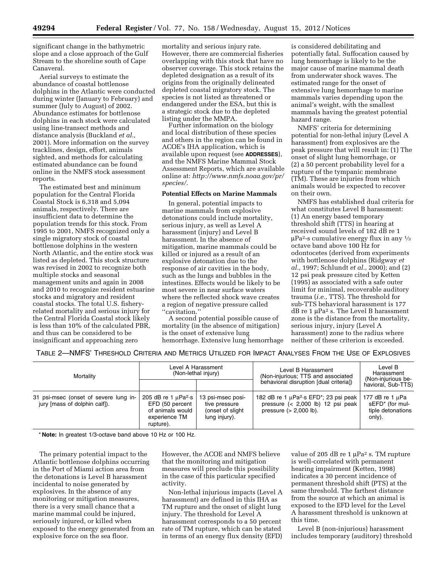significant change in the bathymetric slope and a close approach of the Gulf Stream to the shoreline south of Cape Canaveral.

Aerial surveys to estimate the abundance of coastal bottlenose dolphins in the Atlantic were conducted during winter (January to February) and summer (July to August) of 2002. Abundance estimates for bottlenose dolphins in each stock were calculated using line-transect methods and distance analysis (Buckland *et al.,*  2001). More information on the survey tracklines, design, effort, animals sighted, and methods for calculating estimated abundance can be found online in the NMFS stock assessment reports.

The estimated best and minimum population for the Central Florida Coastal Stock is 6,318 and 5,094 animals, respectively. There are insufficient data to determine the population trends for this stock. From 1995 to 2001, NMFS recognized only a single migratory stock of coastal bottlenose dolphins in the western North Atlantic, and the entire stock was listed as depleted. This stock structure was revised in 2002 to recognize both multiple stocks and seasonal management units and again in 2008 and 2010 to recognize resident estuarine stocks and migratory and resident coastal stocks. The total U.S. fisheryrelated mortality and serious injury for the Central Florida Coastal stock likely is less than 10% of the calculated PBR, and thus can be considered to be insignificant and approaching zero

mortality and serious injury rate. However, there are commercial fisheries overlapping with this stock that have no observer coverage. This stock retains the depleted designation as a result of its origins from the originally delineated depleted coastal migratory stock. The species is not listed as threatened or endangered under the ESA, but this is a strategic stock due to the depleted listing under the MMPA.

Further information on the biology and local distribution of these species and others in the region can be found in ACOE's IHA application, which is available upon request (see **ADDRESSES**), and the NMFS Marine Mammal Stock Assessment Reports, which are available online at: *[http://www.nmfs.noaa.gov/pr/](http://www.nmfs.noaa.gov/pr/species/) [species/](http://www.nmfs.noaa.gov/pr/species/)*.

#### **Potential Effects on Marine Mammals**

In general, potential impacts to marine mammals from explosive detonations could include mortality, serious injury, as well as Level A harassment (injury) and Level B harassment. In the absence of mitigation, marine mammals could be killed or injured as a result of an explosive detonation due to the response of air cavities in the body, such as the lungs and bubbles in the intestines. Effects would be likely to be most severe in near surface waters where the reflected shock wave creates a region of negative pressure called ''cavitation.''

A second potential possible cause of mortality (in the absence of mitigation) is the onset of extensive lung hemorrhage. Extensive lung hemorrhage

is considered debilitating and potentially fatal. Suffocation caused by lung hemorrhage is likely to be the major cause of marine mammal death from underwater shock waves. The estimated range for the onset of extensive lung hemorrhage to marine mammals varies depending upon the animal's weight, with the smallest mammals having the greatest potential hazard range.

NMFS' criteria for determining potential for non-lethal injury (Level A harassment) from explosives are the peak pressure that will result in: (1) The onset of slight lung hemorrhage, or (2) a 50 percent probability level for a rupture of the tympanic membrane (TM). These are injuries from which animals would be expected to recover on their own.

NMFS has established dual criteria for what constitutes Level B harassment: (1) An energy based temporary threshold shift (TTS) in hearing at received sound levels of 182 dB re 1  $\mu$ Pa<sup>2</sup>-s cumulative energy flux in any  $\frac{1}{3}$ octave band above 100 Hz for odontocetes (derived from experiments with bottlenose dolphins (Ridgway *et al.,* 1997; Schlundt *et al.,* 2000); and (2) 12 psi peak pressure cited by Ketten (1995) as associated with a safe outer limit for minimal, recoverable auditory trauma (*i.e.,* TTS). The threshold for sub-TTS behavioral harassment is 177  $dB$  re 1  $\mu$ Pa<sup>2</sup> s. The Level B harassment zone is the distance from the mortality, serious injury, injury (Level A harassment) zone to the radius where neither of these criterion is exceeded.

TABLE 2—NMFS' THRESHOLD CRITERIA AND METRICS UTILIZED FOR IMPACT ANALYSES FROM THE USE OF EXPLOSIVES

| Mortality                                                              | Level A Harassment<br>(Non-lethal injury)                                                                 |                                                                          | Level B Harassment<br>(Non-injurious; TTS and associated<br>behavioral disruption [dual criteria])                               | Level B<br>Harassment<br>(Non-iniurious be-                            |  |
|------------------------------------------------------------------------|-----------------------------------------------------------------------------------------------------------|--------------------------------------------------------------------------|----------------------------------------------------------------------------------------------------------------------------------|------------------------------------------------------------------------|--|
|                                                                        |                                                                                                           |                                                                          |                                                                                                                                  | havioral, Sub-TTS)                                                     |  |
| 31 psi-msec (onset of severe lung in-<br>jury [mass of dolphin calf]). | 205 dB re 1 $\mu$ Pa <sup>2</sup> ·s<br>EFD (50 percent<br>of animals would<br>experience TM<br>rupture). | 13 psi-msec posi-<br>tive pressure<br>(onset of slight)<br>lung injury). | 182 dB re 1 µPa <sup>2</sup> s EFD <sup>*</sup> ; 23 psi peak<br>pressure $(2,000 lb) 12 psi peakpressure (> 2,000 \text{ lb}).$ | 177 dB re 1 $\mu$ Pa<br>sEFD* (for mul-<br>tiple detonations<br>only). |  |

\* **Note:** In greatest 1/3-octave band above 10 Hz or 100 Hz.

The primary potential impact to the Atlantic bottlenose dolphins occurring in the Port of Miami action area from the detonations is Level B harassment incidental to noise generated by explosives. In the absence of any monitoring or mitigation measures, there is a very small chance that a marine mammal could be injured, seriously injured, or killed when exposed to the energy generated from an explosive force on the sea floor.

However, the ACOE and NMFS believe that the monitoring and mitigation measures will preclude this possibility in the case of this particular specified activity.

Non-lethal injurious impacts (Level A harassment) are defined in this IHA as TM rupture and the onset of slight lung injury. The threshold for Level A harassment corresponds to a 50 percent rate of TM rupture, which can be stated in terms of an energy flux density (EFD)

value of 205 dB re 1  $\mu$ Pa<sup>2</sup> s. TM rupture is well-correlated with permanent hearing impairment (Ketten, 1998) indicates a 30 percent incidence of permanent threshold shift (PTS) at the same threshold. The farthest distance from the source at which an animal is exposed to the EFD level for the Level A harassment threshold is unknown at this time.

Level B (non-injurious) harassment includes temporary (auditory) threshold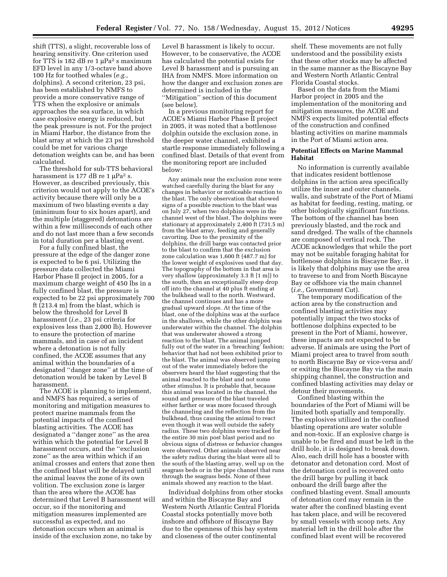shift (TTS), a slight, recoverable loss of hearing sensitivity. One criterion used for TTS is 182 dB re 1  $\mu$ Pa<sup>2</sup> s maximum EFD level in any 1/3-octave band above 100 Hz for toothed whales (*e.g.,*  dolphins). A second criterion, 23 psi, has been established by NMFS to provide a more conservative range of TTS when the explosive or animals approaches the sea surface, in which case explosive energy is reduced, but the peak pressure is not. For the project in Miami Harbor, the distance from the blast array at which the 23 psi threshold could be met for various charge detonation weights can be, and has been calculated.

The threshold for sub-TTS behavioral harassment is 177 dB re 1  $\mu$ Pa<sup>2</sup> s. However, as described previously, this criterion would not apply to the ACOE's activity because there will only be a maximum of two blasting events a day (minimum four to six hours apart), and the multiple (staggered) detonations are within a few milliseconds of each other and do not last more than a few seconds in total duration per a blasting event.

For a fully confined blast, the pressure at the edge of the danger zone is expected to be 6 psi. Utilizing the pressure data collected the Miami Harbor Phase II project in 2005, for a maximum charge weight of 450 lbs in a fully confined blast, the pressure is expected to be 22 psi approximately 700 ft (213.4 m) from the blast, which is below the threshold for Level B harassment (*i.e.,* 23 psi criteria for explosives less than 2,000 lb). However to ensure the protection of marine mammals, and in case of an incident where a detonation is not fully confined, the ACOE assumes that any animal within the boundaries of a designated ''danger zone'' at the time of detonation would be taken by Level B harassment.

The ACOE is planning to implement, and NMFS has required, a series of monitoring and mitigation measures to protect marine mammals from the potential impacts of the confined blasting activities. The ACOE has designated a ''danger zone'' as the area within which the potential for Level B harassment occurs, and the ''exclusion zone'' as the area within which if an animal crosses and enters that zone then the confined blast will be delayed until the animal leaves the zone of its own volition. The exclusion zone is larger than the area where the ACOE has determined that Level B harassment will occur, so if the monitoring and mitigation measures implemented are successful as expected, and no detonation occurs when an animal is inside of the exclusion zone, no take by

Level B harassment is likely to occur. However, to be conservative, the ACOE has calculated the potential exists for Level B harassment and is pursuing an IHA from NMFS. More information on how the danger and exclusion zones are determined is included in the ''Mitigation'' section of this document (see below).

In a previous monitoring report for ACOE's Miami Harbor Phase II project in 2005, it was noted that a bottlenose dolphin outside the exclusion zone, in the deeper water channel, exhibited a startle response immediately following a confined blast. Details of that event from the monitoring report are included below:

Any animals near the exclusion zone were watched carefully during the blast for any changes in behavior or noticeable reaction to the blast. The only observation that showed signs of a possible reaction to the blast was on July 27, when two dolphins were in the channel west of the blast. The dolphins were stationary at approximately 2,400 ft (731.5 m) from the blast array, feeding and generally cavorting. Due to the proximity of the dolphins, the drill barge was contacted prior to the blast to confirm that the exclusion zone calculation was 1,600 ft (487.7 m) for the lower weight of explosives used that day. The topography of the bottom in that area is very shallow (approximately 3.3 ft [1 m]) to the south, then an exceptionally steep drop off into the channel at  $40$  plus  $\dot{f}$ t ending at the bulkhead wall to the north. Westward, the channel continues and has a more gradual upward slope. At the time of the blast, one of the dolphins was at the surface in the shallows, while the other dolphin was underwater within the channel. The dolphin that was underwater showed a strong reaction to the blast. The animal jumped fully out of the water in a 'breaching' fashion; behavior that had not been exhibited prior to the blast. The animal was observed jumping out of the water immediately before the observers heard the blast suggesting that the animal reacted to the blast and not some other stimulus. It is probable that, because this animal was located in the channel, the sound and pressure of the blast traveled either farther or was more focused through the channeling and the reflection from the bulkhead, thus causing the animal to react even though it was well outside the safety radius. These two dolphins were tracked for the entire 30 min post blast period and no obvious signs of distress or behavior changes were observed. Other animals observed near the safety radius during the blast were all to the south of the blasting array, well up on the seagrass beds or in the pipe channel that runs through the seagrass beds. None of these animals showed any reaction to the blast.

Individual dolphins from other stocks and within the Biscayne Bay and Western North Atlantic Central Florida Coastal stocks potentially move both inshore and offshore of Biscayne Bay due to the openness of this bay system and closeness of the outer continental

shelf. These movements are not fully understood and the possibility exists that these other stocks may be affected in the same manner as the Biscayne Bay and Western North Atlantic Central Florida Coastal stocks.

Based on the data from the Miami Harbor project in 2005 and the implementation of the monitoring and mitigation measures, the ACOE and NMFS expects limited potential effects of the construction and confined blasting activities on marine mammals in the Port of Miami action area.

#### **Potential Effects on Marine Mammal Habitat**

No information is currently available that indicates resident bottlenose dolphins in the action area specifically utilize the inner and outer channels, walls, and substrate of the Port of Miami as habitat for feeding, resting, mating, or other biologically significant functions. The bottom of the channel has been previously blasted, and the rock and sand dredged. The walls of the channels are composed of vertical rock. The ACOE acknowledges that while the port may not be suitable foraging habitat for bottlenose dolphins in Biscayne Bay, it is likely that dolphins may use the area to traverse to and from North Biscayne Bay or offshore via the main channel (*i.e.,* Government Cut).

The temporary modification of the action area by the construction and confined blasting activities may potentially impact the two stocks of bottlenose dolphins expected to be present in the Port of Miami, however, these impacts are not expected to be adverse. If animals are using the Port of Miami project area to travel from south to north Biscayne Bay or vice-versa and/ or exiting the Biscayne Bay via the main shipping channel, the construction and confined blasting activities may delay or detour their movements.

Confined blasting within the boundaries of the Port of Miami will be limited both spatially and temporally. The explosives utilized in the confined blasting operations are water soluble and non-toxic. If an explosive charge is unable to be fired and must be left in the drill hole, it is designed to break down. Also, each drill hole has a booster with detonator and detonation cord. Most of the detonation cord is recovered onto the drill barge by pulling it back onboard the drill barge after the confined blasting event. Small amounts of detonation cord may remain in the water after the confined blasting event has taken place, and will be recovered by small vessels with scoop nets. Any material left in the drill hole after the confined blast event will be recovered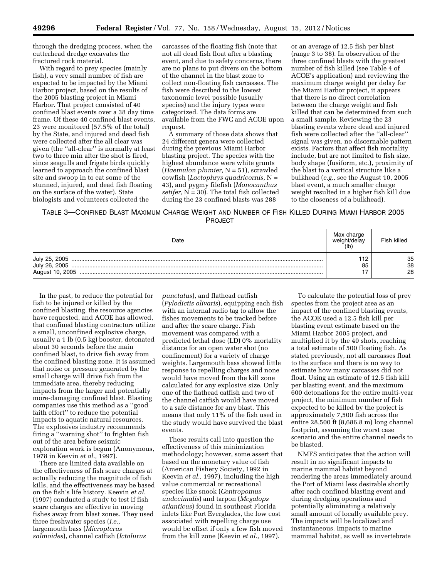through the dredging process, when the cutterhead dredge excavates the fractured rock material.

With regard to prey species (mainly fish), a very small number of fish are expected to be impacted by the Miami Harbor project, based on the results of the 2005 blasting project in Miami Harbor. That project consisted of 40 confined blast events over a 38 day time frame. Of these 40 confined blast events, 23 were monitored (57.5% of the total) by the State, and injured and dead fish were collected after the all clear was given (the ''all-clear'' is normally at least two to three min after the shot is fired, since seagulls and frigate birds quickly learned to approach the confined blast site and swoop in to eat some of the stunned, injured, and dead fish floating on the surface of the water). State biologists and volunteers collected the

carcasses of the floating fish (note that not all dead fish float after a blasting event, and due to safety concerns, there are no plans to put divers on the bottom of the channel in the blast zone to collect non-floating fish carcasses. The fish were described to the lowest taxonomic level possible (usually species) and the injury types were categorized. The data forms are available from the FWC and ACOE upon request.

A summary of those data shows that 24 different genera were collected during the previous Miami Harbor blasting project. The species with the highest abundance were white grunts (*Haemulon plumier,* N = 51), scrawled cowfish (*Lactophrys quadricornis,* N = 43), and pygmy filefish (*Monocanthus setifer,* N = 30). The total fish collected during the 23 confined blasts was 288

or an average of 12.5 fish per blast (range 3 to 38). In observation of the three confined blasts with the greatest number of fish killed (see Table 4 of ACOE's application) and reviewing the maximum charge weight per delay for the Miami Harbor project, it appears that there is no direct correlation between the charge weight and fish killed that can be determined from such a small sample. Reviewing the 23 blasting events where dead and injured fish were collected after the ''all-clear'' signal was given, no discernable pattern exists. Factors that affect fish mortality include, but are not limited to fish size, body shape (fusiform, etc.), proximity of the blast to a vertical structure like a bulkhead (*e.g.,* see the August 10, 2005 blast event, a much smaller charge weight resulted in a higher fish kill due to the closeness of a bulkhead).

# TABLE 3—CONFINED BLAST MAXIMUM CHARGE WEIGHT AND NUMBER OF FISH KILLED DURING MIAMI HARBOR 2005 PROJECT

| Date                                              | Max charge<br>weight/delav<br>(1 <sub>b</sub> ) | Fish killed    |
|---------------------------------------------------|-------------------------------------------------|----------------|
| July 25, 2005<br>July 26, 2005<br>August 10, 2005 | $\cdot$<br>85                                   | 35<br>38<br>28 |

In the past, to reduce the potential for fish to be injured or killed by the confined blasting, the resource agencies have requested, and ACOE has allowed, that confined blasting contractors utilize a small, unconfined explosive charge, usually a 1 lb (0.5 kg) booster, detonated about 30 seconds before the main confined blast, to drive fish away from the confined blasting zone. It is assumed that noise or pressure generated by the small charge will drive fish from the immediate area, thereby reducing impacts from the larger and potentially more-damaging confined blast. Blasting companies use this method as a ''good faith effort'' to reduce the potential impacts to aquatic natural resources. The explosives industry recommends firing a ''warning shot'' to frighten fish out of the area before seismic exploration work is begun (Anonymous, 1978 in Keevin *et al.,* 1997).

There are limited data available on the effectiveness of fish scare charges at actually reducing the magnitude of fish kills, and the effectiveness may be based on the fish's life history. Keevin *et al.*  (1997) conducted a study to test if fish scare charges are effective in moving fishes away from blast zones. They used three freshwater species (*i.e.,*  largemouth bass (*Micropterus salmoides*), channel catfish (*Ictalurus* 

*punctatus*), and flathead catfish (*Pylodictis olivaris*), equipping each fish with an internal radio tag to allow the fishes movements to be tracked before and after the scare charge. Fish movement was compared with a predicted lethal dose (LD) 0% mortality distance for an open water shot (no confinement) for a variety of charge weights. Largemouth bass showed little response to repelling charges and none would have moved from the kill zone calculated for any explosive size. Only one of the flathead catfish and two of the channel catfish would have moved to a safe distance for any blast. This means that only 11% of the fish used in the study would have survived the blast events.

These results call into question the effectiveness of this minimization methodology; however, some assert that based on the monetary value of fish (American Fishery Society, 1992 in Keevin *et al.,* 1997), including the high value commercial or recreational species like snook (*Centropomus undecimalis*) and tarpon (*Megalops atlanticus*) found in southeast Florida inlets like Port Everglades, the low cost associated with repelling charge use would be offset if only a few fish moved from the kill zone (Keevin *et al.,* 1997).

To calculate the potential loss of prey species from the project area as an impact of the confined blasting events, the ACOE used a 12.5 fish kill per blasting event estimate based on the Miami Harbor 2005 project, and multiplied it by the 40 shots, reaching a total estimate of 500 floating fish. As stated previously, not all carcasses float to the surface and there is no way to estimate how many carcasses did not float. Using an estimate of 12.5 fish kill per blasting event, and the maximum 600 detonations for the entire multi-year project, the minimum number of fish expected to be killed by the project is approximately 7,500 fish across the entire 28,500 ft (8,686.8 m) long channel footprint, assuming the worst case scenario and the entire channel needs to be blasted.

NMFS anticipates that the action will result in no significant impacts to marine mammal habitat beyond rendering the areas immediately around the Port of Miami less desirable shortly after each confined blasting event and during dredging operations and potentially eliminating a relatively small amount of locally available prey. The impacts will be localized and instantaneous. Impacts to marine mammal habitat, as well as invertebrate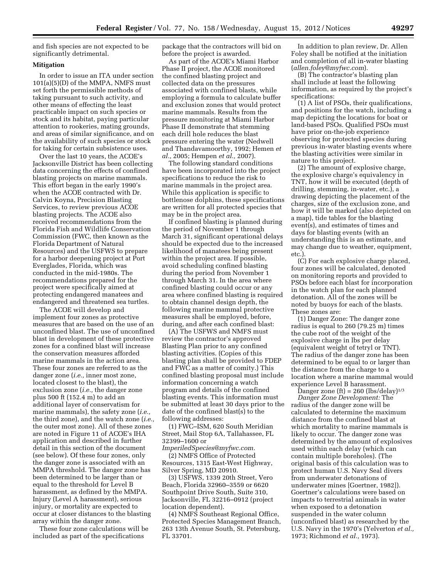and fish species are not expected to be significantly detrimental.

# **Mitigation**

In order to issue an ITA under section 101(a)(5)(D) of the MMPA, NMFS must set forth the permissible methods of taking pursuant to such activity, and other means of effecting the least practicable impact on such species or stock and its habitat, paying particular attention to rookeries, mating grounds, and areas of similar significance, and on the availability of such species or stock for taking for certain subsistence uses.

Over the last 10 years, the ACOE's Jacksonville District has been collecting data concerning the effects of confined blasting projects on marine mammals. This effort began in the early 1990's when the ACOE contracted with Dr. Calvin Koyna, Precision Blasting Services, to review previous ACOE blasting projects. The ACOE also received recommendations from the Florida Fish and Wildlife Conservation Commission (FWC, then known as the Florida Department of Natural Resources) and the USFWS to prepare for a harbor deepening project at Port Everglades, Florida, which was conducted in the mid-1980s. The recommendations prepared for the project were specifically aimed at protecting endangered manatees and endangered and threatened sea turtles.

The ACOE will develop and implement four zones as protective measures that are based on the use of an unconfined blast. The use of unconfined blast in development of these protective zones for a confined blast will increase the conservation measures afforded marine mammals in the action area. These four zones are referred to as the danger zone (*i.e.,* inner most zone, located closest to the blast), the exclusion zone (*i.e.,* the danger zone plus 500 ft (152.4 m) to add an additional layer of conservatism for marine mammals), the safety zone (*i.e.,*  the third zone), and the watch zone (*i.e.,*  the outer most zone). All of these zones are noted in Figure 11 of ACOE's IHA application and described in further detail in this section of the document (see below). Of these four zones, only the danger zone is associated with an MMPA threshold. The danger zone has been determined to be larger than or equal to the threshold for Level B harassment, as defined by the MMPA. Injury (Level A harassment), serious injury, or mortality are expected to occur at closer distances to the blasting array within the danger zone.

These four zone calculations will be included as part of the specifications

package that the contractors will bid on before the project is awarded.

As part of the ACOE's Miami Harbor Phase II project, the ACOE monitored the confined blasting project and collected data on the pressures associated with confined blasts, while employing a formula to calculate buffer and exclusion zones that would protect marine mammals. Results from the pressure monitoring at Miami Harbor Phase II demonstrate that stemming each drill hole reduces the blast pressure entering the water (Nedwell and Thandavamoorthy, 1992; Hemen *et al.,* 2005; Hempen *et al.,* 2007).

The following standard conditions have been incorporated into the project specifications to reduce the risk to marine mammals in the project area. While this application is specific to bottlenose dolphins, these specifications are written for all protected species that may be in the project area.

If confined blasting is planned during the period of November 1 through March 31, significant operational delays should be expected due to the increased likelihood of manatees being present within the project area. If possible, avoid scheduling confined blasting during the period from November 1 through March 31. In the area where confined blasting could occur or any area where confined blasting is required to obtain channel design depth, the following marine mammal protective measures shall be employed, before, during, and after each confined blast:

(A) The USFWS and NMFS must review the contractor's approved Blasting Plan prior to any confined blasting activities. (Copies of this blasting plan shall be provided to FDEP and FWC as a matter of comity.) This confined blasting proposal must include information concerning a watch program and details of the confined blasting events. This information must be submitted at least 30 days prior to the date of the confined blast(s) to the following addresses:

(1) FWC–ISM, 620 South Meridian Street, Mail Stop 6A, Tallahassee, FL 32399–1600 or

*[ImperiledSpecies@myfwc.com.](mailto:ImperiledSpecies@myfwc.com)*  (2) NMFS Office of Protected Resources, 1315 East-West Highway, Silver Spring, MD 20910.

(3) USFWS, 1339 20th Street, Vero Beach, Florida 32960–3559 or 6620 Southpoint Drive South, Suite 310, Jacksonville, FL 32216–0912 (project location dependent).

(4) NMFS Southeast Regional Office, Protected Species Management Branch, 263 13th Avenue South, St. Petersburg, FL 33701.

In addition to plan review, Dr. Allen Foley shall be notified at the initiation and completion of all in-water blasting (*[allen.foley@myfwc.com](mailto:allen.foley@myfwc.com)*).

(B) The contractor's blasting plan shall include at least the following information, as required by the project's specifications:

(1) A list of PSOs, their qualifications, and positions for the watch, including a map depicting the locations for boat or land-based PSOs. Qualified PSOs must have prior on-the-job experience observing for protected species during previous in-water blasting events where the blasting activities were similar in nature to this project.

(2) The amount of explosive charge, the explosive charge's equivalency in TNT, how it will be executed (depth of drilling, stemming, in-water, etc.), a drawing depicting the placement of the charges, size of the exclusion zone, and how it will be marked (also depicted on a map), tide tables for the blasting event(s), and estimates of times and days for blasting events (with an understanding this is an estimate, and may change due to weather, equipment, etc.).

(C) For each explosive charge placed, four zones will be calculated, denoted on monitoring reports and provided to PSOs before each blast for incorporation in the watch plan for each planned detonation. All of the zones will be noted by buoys for each of the blasts. These zones are:

(1) Danger Zone: The danger zone radius is equal to 260 (79.25 m) times the cube root of the weight of the explosive charge in lbs per delay (equivalent weight of tetryl or TNT). The radius of the danger zone has been determined to be equal to or larger than the distance from the charge to a location where a marine mammal would experience Level B harassment. Danger zone (ft) =  $260$  (lbs/delay)<sup>1/3</sup>

*Danger Zone Development:* The radius of the danger zone will be calculated to determine the maximum distance from the confined blast at which mortality to marine mammals is likely to occur. The danger zone was determined by the amount of explosives used within each delay (which can contain multiple boreholes). (The original basis of this calculation was to protect human U.S. Navy Seal divers from underwater detonations of underwater mines [Goertner, 1982]). Goertner's calculations were based on impacts to terrestrial animals in water when exposed to a detonation suspended in the water column (unconfined blast) as researched by the U.S. Navy in the 1970's (Yelverton *et al.,*  1973; Richmond *et al.,* 1973).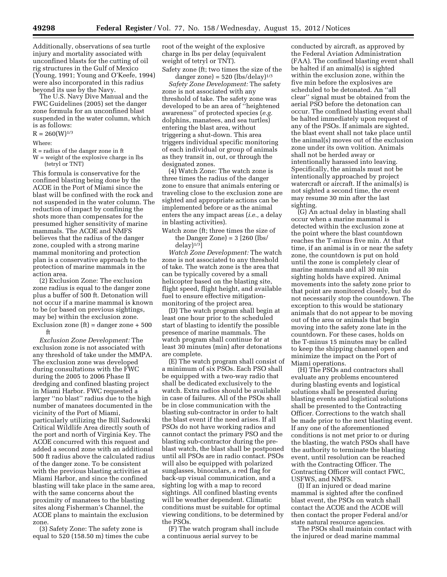Additionally, observations of sea turtle injury and mortality associated with unconfined blasts for the cutting of oil rig structures in the Gulf of Mexico (Young, 1991; Young and O'Keefe, 1994) were also incorporated in this radius beyond its use by the Navy.

The U.S. Navy Dive Manual and the FWC Guidelines (2005) set the danger zone formula for an unconfined blast suspended in the water column, which is as follows:

 $R = 260(W)^{1/3}$ 

Where:

R = radius of the danger zone in ft W = weight of the explosive charge in lbs (tetryl or TNT)

This formula is conservative for the confined blasting being done by the ACOE in the Port of Miami since the blast will be confined with the rock and not suspended in the water column. The reduction of impact by confining the shots more than compensates for the presumed higher sensitivity of marine mammals. The ACOE and NMFS believes that the radius of the danger zone, coupled with a strong marine mammal monitoring and protection plan is a conservative approach to the protection of marine mammals in the action area.

(2) Exclusion Zone: The exclusion zone radius is equal to the danger zone plus a buffer of 500 ft. Detonation will not occur if a marine mammal is known to be (or based on previous sightings, may be) within the exclusion zone. Exclusion zone  $(ft) =$  danger zone  $+500$ ft

*Exclusion Zone Development:* The exclusion zone is not associated with any threshold of take under the MMPA. The exclusion zone was developed during consultations with the FWC during the 2005 to 2006 Phase II dredging and confined blasting project in Miami Harbor. FWC requested a larger ''no blast'' radius due to the high number of manatees documented in the vicinity of the Port of Miami, particularly utilizing the Bill Sadowski Critical Wildlife Area directly south of the port and north of Virginia Key. The ACOE concurred with this request and added a second zone with an additional 500 ft radius above the calculated radius of the danger zone. To be consistent with the previous blasting activities at Miami Harbor, and since the confined blasting will take place in the same area, with the same concerns about the proximity of manatees to the blasting sites along Fisherman's Channel, the ACOE plans to maintain the exclusion zone.

(3) Safety Zone: The safety zone is equal to 520 (158.50 m) times the cube root of the weight of the explosive charge in lbs per delay (equivalent weight of tetryl or TNT).

Safety zone (ft; two times the size of the danger zone) =  $520$  (lbs/delay) $1/3$ 

*Safety Zone Development:* The safety zone is not associated with any threshold of take. The safety zone was developed to be an area of ''heightened awareness'' of protected species (*e.g.*  dolphins, manatees, and sea turtles) entering the blast area, without triggering a shut-down. This area triggers individual specific monitoring of each individual or group of animals as they transit in, out, or through the designated zones.

(4) Watch Zone: The watch zone is three times the radius of the danger zone to ensure that animals entering or traveling close to the exclusion zone are sighted and appropriate actions can be implemented before or as the animal enters the any impact areas (*i.e.,* a delay in blasting activities).

Watch zone (ft; three times the size of the Danger Zone) =  $3$  [260 (lbs/  $delay)$ <sup>1/3</sup>]

*Watch Zone Development:* The watch zone is not associated to any threshold of take. The watch zone is the area that can be typically covered by a small helicopter based on the blasting site, flight speed, flight height, and available fuel to ensure effective mitigationmonitoring of the project area.

(D) The watch program shall begin at least one hour prior to the scheduled start of blasting to identify the possible presence of marine mammals. The watch program shall continue for at least 30 minutes (min) after detonations are complete.

(E) The watch program shall consist of a minimum of six PSOs. Each PSO shall be equipped with a two-way radio that shall be dedicated exclusively to the watch. Extra radios should be available in case of failures. All of the PSOs shall be in close communication with the blasting sub-contractor in order to halt the blast event if the need arises. If all PSOs do not have working radios and cannot contact the primary PSO and the blasting sub-contractor during the preblast watch, the blast shall be postponed until all PSOs are in radio contact. PSOs will also be equipped with polarized sunglasses, binoculars, a red flag for back-up visual communication, and a sighting log with a map to record sightings. All confined blasting events will be weather dependent. Climatic conditions must be suitable for optimal viewing conditions, to be determined by the PSOs.

(F) The watch program shall include a continuous aerial survey to be

conducted by aircraft, as approved by the Federal Aviation Administration (FAA). The confined blasting event shall be halted if an animal(s) is sighted within the exclusion zone, within the five min before the explosives are scheduled to be detonated. An ''all clear'' signal must be obtained from the aerial PSO before the detonation can occur. The confined blasting event shall be halted immediately upon request of any of the PSOs. If animals are sighted, the blast event shall not take place until the animal(s) moves out of the exclusion zone under its own volition. Animals shall not be herded away or intentionally harassed into leaving. Specifically, the animals must not be intentionally approached by project watercraft or aircraft. If the animal(s) is not sighted a second time, the event may resume 30 min after the last sighting.

(G) An actual delay in blasting shall occur when a marine mammal is detected within the exclusion zone at the point where the blast countdown reaches the T-minus five min. At that time, if an animal is in or near the safety zone, the countdown is put on hold until the zone is completely clear of marine mammals and all 30 min sighting holds have expired. Animal movements into the safety zone prior to that point are monitored closely, but do not necessarily stop the countdown. The exception to this would be stationary animals that do not appear to be moving out of the area or animals that begin moving into the safety zone late in the countdown. For these cases, holds on the T-minus 15 minutes may be called to keep the shipping channel open and minimize the impact on the Port of Miami operations.

(H) The PSOs and contractors shall evaluate any problems encountered during blasting events and logistical solutions shall be presented during blasting events and logistical solutions shall be presented to the Contracting Officer. Corrections to the watch shall be made prior to the next blasting event. If any one of the aforementioned conditions is not met prior to or during the blasting, the watch PSOs shall have the authority to terminate the blasting event, until resolution can be reached with the Contracting Officer. The Contracting Officer will contact FWC, USFWS, and NMFS.

(I) If an injured or dead marine mammal is sighted after the confined blast event, the PSOs on watch shall contact the ACOE and the ACOE will then contact the proper Federal and/or state natural resource agencies.

The PSOs shall maintain contact with the injured or dead marine mammal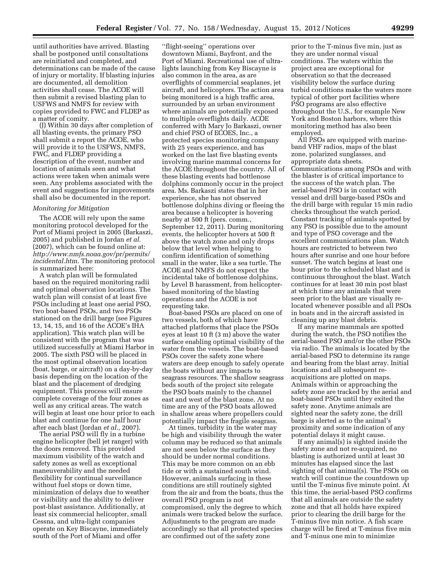until authorities have arrived. Blasting shall be postponed until consultations are reinitiated and completed, and determinations can be made of the cause of injury or mortality. If blasting injuries are documented, all demolition activities shall cease. The ACOE will then submit a revised blasting plan to USFWS and NMFS for review with copies provided to FWC and FLDEP as a matter of comity.

(J) Within 30 days after completion of all blasting events, the primary PSO shall submit a report the ACOE, who will provide it to the USFWS, NMFS, FWC, and FLDEP providing a description of the event, number and location of animals seen and what actions were taken when animals were seen. Any problems associated with the event and suggestions for improvements shall also be documented in the report.

#### *Monitoring for Mitigation*

The ACOE will rely upon the same monitoring protocol developed for the Port of Miami project in 2005 (Barkaszi, 2005) and published in Jordan *et al.*  (2007), which can be found online at: *[http://www.nmfs.noaa.gov/pr/permits/](http://www.nmfs.noaa.gov/pr/permits/incidental.htm)  [incidental.htm](http://www.nmfs.noaa.gov/pr/permits/incidental.htm)*. The monitoring protocol is summarized here:

A watch plan will be formulated based on the required monitoring radii and optimal observation locations. The watch plan will consist of at least five PSOs including at least one aerial PSO, two boat-based PSOs, and two PSOs stationed on the drill barge (see Figures 13, 14, 15, and 16 of the ACOE's IHA application). This watch plan will be consistent with the program that was utilized successfully at Miami Harbor in 2005. The sixth PSO will be placed in the most optimal observation location (boat, barge, or aircraft) on a day-by-day basis depending on the location of the blast and the placement of dredging equipment. This process will ensure complete coverage of the four zones as well as any critical areas. The watch will begin at least one hour prior to each blast and continue for one half hour after each blast (Jordan *et al.,* 2007).

The aerial PSO will fly in a turbine engine helicopter (bell jet ranger) with the doors removed. This provided maximum visibility of the watch and safety zones as well as exceptional maneuverability and the needed flexibility for continual surveillance without fuel stops or down time, minimization of delays due to weather or visibility and the ability to deliver post-blast assistance. Additionally, at least six commercial helicopter, small Cessna, and ultra-light companies operate on Key Biscayne, immediately south of the Port of Miami and offer

''flight-seeing'' operations over downtown Miami, Bayfront, and the Port of Miami. Recreational use of ultralights launching from Key Biscayne is also common in the area, as are overflights of commercial seaplanes, jet aircraft, and helicopters. The action area being monitored is a high traffic area, surrounded by an urban environment where animals are potentially exposed to multiple overflights daily. ACOE conferred with Mary Jo Barkaszi, owner and chief PSO of ECOES, Inc., a protected species monitoring company with 25 years experience, and has worked on the last five blasting events involving marine mammal concerns for the ACOE throughout the country. All of these blasting events had bottlenose dolphins commonly occur in the project area. Ms. Barkaszi states that in her experience, she has not observed bottlenose dolphins diving or fleeing the area because a helicopter is hovering nearby at 500 ft (pers. comm., September 12, 2011). During monitoring events, the helicopter hovers at 500 ft above the watch zone and only drops below that level when helping to confirm identification of something small in the water, like a sea turtle. The ACOE and NMFS do not expect the incidental take of bottlenose dolphins, by Level B harassment, from helicopterbased monitoring of the blasting operations and the ACOE is not requesting take.

Boat-based PSOs are placed on one of two vessels, both of which have attached platforms that place the PSOs eyes at least 10 ft (3 m) above the water surface enabling optimal visibility of the water from the vessels. The boat-based PSOs cover the safety zone where waters are deep enough to safely operate the boats without any impacts to seagrass resources. The shallow seagrass beds south of the project site relegate the PSO boats mainly to the channel east and west of the blast zone. At no time are any of the PSO boats allowed in shallow areas where propellers could potentially impact the fragile seagrass.

At times, turbidity in the water may be high and visibility through the water column may be reduced so that animals are not seen below the surface as they should be under normal conditions. This may be more common on an ebb tide or with a sustained south wind. However, animals surfacing in these conditions are still routinely sighted from the air and from the boats, thus the overall PSO program is not compromised, only the degree to which animals were tracked below the surface. Adjustments to the program are made accordingly so that all protected species are confirmed out of the safety zone

prior to the T-minus five min, just as they are under normal visual conditions. The waters within the project area are exceptional for observation so that the decreased visibility below the surface during turbid conditions make the waters more typical of other port facilities where PSO programs are also effective throughout the U.S., for example New York and Boston harbors, where this monitoring method has also been employed.

All PSOs are equipped with marineband VHF radios, maps of the blast zone, polarized sunglasses, and appropriate data sheets. Communications among PSOs and with the blaster is of critical importance to the success of the watch plan. The aerial-based PSO is in contact with vessel and drill barge-based PSOs and the drill barge with regular 15 min radio checks throughout the watch period. Constant tracking of animals spotted by any PSO is possible due to the amount and type of PSO coverage and the excellent communications plan. Watch hours are restricted to between two hours after sunrise and one hour before sunset. The watch begins at least one hour prior to the scheduled blast and is continuous throughout the blast. Watch continues for at least 30 min post blast at which time any animals that were seen prior to the blast are visually relocated whenever possible and all PSOs in boats and in the aircraft assisted in cleaning up any blast debris.

If any marine mammals are spotted during the watch, the PSO notifies the aerial-based PSO and/or the other PSOs via radio. The animals is located by the aerial-based PSO to determine its range and bearing from the blast array. Initial locations and all subsequent reacquisitions are plotted on maps. Animals within or approaching the safety zone are tracked by the aerial and boat-based PSOs until they exited the safety zone. Anytime animals are sighted near the safety zone, the drill barge is alerted as to the animal's proximity and some indication of any potential delays it might cause.

If any animal(s) is sighted inside the safety zone and not re-acquired, no blasting is authorized until at least 30 minutes has elapsed since the last sighting of that animal(s). The PSOs on watch will continue the countdown up until the T-minus five minute point. At this time, the aerial-based PSO confirms that all animals are outside the safety zone and that all holds have expired prior to clearing the drill barge for the T-minus five min notice. A fish scare charge will be fired at T-minus five min and T-minus one min to minimize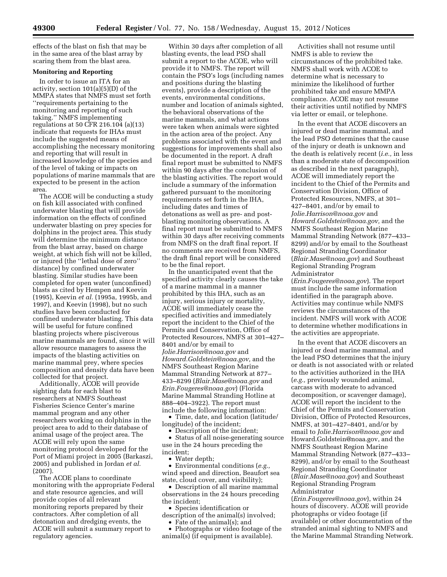effects of the blast on fish that may be in the same area of the blast array by scaring them from the blast area.

# **Monitoring and Reporting**

In order to issue an ITA for an activity, section 101(a)(5)(D) of the MMPA states that NMFS must set forth ''requirements pertaining to the monitoring and reporting of such taking.'' NMFS implementing regulations at 50 CFR 216.104 (a)(13) indicate that requests for IHAs must include the suggested means of accomplishing the necessary monitoring and reporting that will result in increased knowledge of the species and of the level of taking or impacts on populations of marine mammals that are expected to be present in the action area.

The ACOE will be conducting a study on fish kill associated with confined underwater blasting that will provide information on the effects of confined underwater blasting on prey species for dolphins in the project area. This study will determine the minimum distance from the blast array, based on charge weight, at which fish will not be killed, or injured (the ''lethal dose of zero'' distance) by confined underwater blasting. Similar studies have been completed for open water (unconfined) blasts as cited by Hempen and Keevin (1995), Keevin *et al.* (1995a, 1995b, and 1997), and Keevin (1998), but no such studies have been conducted for confined underwater blasting. This data will be useful for future confined blasting projects where pisciverous marine mammals are found, since it will allow resource managers to assess the impacts of the blasting activities on marine mammal prey, where species composition and density data have been collected for that project.

Additionally, ACOE will provide sighting data for each blast to researchers at NMFS Southeast Fisheries Science Center's marine mammal program and any other researchers working on dolphins in the project area to add to their database of animal usage of the project area. The ACOE will rely upon the same monitoring protocol developed for the Port of Miami project in 2005 (Barkaszi, 2005) and published in Jordan *et al.*  (2007).

The ACOE plans to coordinate monitoring with the appropriate Federal and state resource agencies, and will provide copies of all relevant monitoring reports prepared by their contractors. After completion of all detonation and dredging events, the ACOE will submit a summary report to regulatory agencies.

Within 30 days after completion of all blasting events, the lead PSO shall submit a report to the ACOE, who will provide it to NMFS. The report will contain the PSO's logs (including names and positions during the blasting events), provide a description of the events, environmental conditions, number and location of animals sighted, the behavioral observations of the marine mammals, and what actions were taken when animals were sighted in the action area of the project. Any problems associated with the event and suggestions for improvements shall also be documented in the report. A draft final report must be submitted to NMFS within 90 days after the conclusion of the blasting activities. The report would include a summary of the information gathered pursuant to the monitoring requirements set forth in the IHA, including dates and times of detonations as well as pre- and postblasting monitoring observations. A final report must be submitted to NMFS within 30 days after receiving comments from NMFS on the draft final report. If no comments are received from NMFS, the draft final report will be considered to be the final report.

In the unanticipated event that the specified activity clearly causes the take of a marine mammal in a manner prohibited by this IHA, such as an injury, serious injury or mortality, ACOE will immediately cease the specified activities and immediately report the incident to the Chief of the Permits and Conservation, Office of Protected Resources, NMFS at 301–427– 8401 and/or by email to *[Jolie.Harrison@noaa.gov](mailto:Jolie.Harrison@noaa.gov)* and *[Howard.Goldstein@noaa.gov,](mailto:Howard.Goldstein@noaa.gov)* and the NMFS Southeast Region Marine Mammal Stranding Network at 877– 433–8299 (*[Blair.Mase@noaa.gov](mailto:Blair.Mase@noaa.gov)* and *[Erin.Fougeres@noaa.gov](mailto:Erin.Fougeres@noaa.gov)*) (Florida Marine Mammal Stranding Hotline at 888–404–3922). The report must include the following information:

• Time, date, and location (latitude/ longitude) of the incident;

• Description of the incident;

• Status of all noise-generating source use in the 24 hours preceding the incident;

• Water depth;

• Environmental conditions (*e.g.,*  wind speed and direction, Beaufort sea state, cloud cover, and visibility);

• Description of all marine mammal observations in the 24 hours preceding the incident;

• Species identification or

description of the animal(s) involved;

• Fate of the animal(s); and

• Photographs or video footage of the animal(s) (if equipment is available).

Activities shall not resume until NMFS is able to review the circumstances of the prohibited take. NMFS shall work with ACOE to determine what is necessary to minimize the likelihood of further prohibited take and ensure MMPA compliance. ACOE may not resume their activities until notified by NMFS via letter or email, or telephone.

In the event that ACOE discovers an injured or dead marine mammal, and the lead PSO determines that the cause of the injury or death is unknown and the death is relatively recent (*i.e.,* in less than a moderate state of decomposition as described in the next paragraph), ACOE will immediately report the incident to the Chief of the Permits and Conservation Division, Office of Protected Resources, NMFS, at 301– 427–8401, and/or by email to *[Jolie.Harrison@noaa.gov](mailto:Jolie.Harrison@noaa.gov)* and *[Howard.Goldstein@noaa.gov,](mailto:Howard.Goldstein@noaa.gov)* and the NMFS Southeast Region Marine Mammal Stranding Network (877–433– 8299) and/or by email to the Southeast Regional Stranding Coordinator (*[Blair.Mase@noaa.gov](mailto:Blair.Mase@noaa.gov)*) and Southeast Regional Stranding Program Administrator

(*[Erin.Fougeres@noaa.gov](mailto:Erin.Fougeres@noaa.gov)*). The report must include the same information identified in the paragraph above. Activities may continue while NMFS reviews the circumstances of the incident. NMFS will work with ACOE to determine whether modifications in the activities are appropriate.

In the event that ACOE discovers an injured or dead marine mammal, and the lead PSO determines that the injury or death is not associated with or related to the activities authorized in the IHA (*e.g.,* previously wounded animal, carcass with moderate to advanced decomposition, or scavenger damage), ACOE will report the incident to the Chief of the Permits and Conservation Division, Office of Protected Resources, NMFS, at 301–427–8401, and/or by email to *[Jolie.Harrison@noaa.gov](mailto:Jolie.Harrison@noaa.gov)* and [Howard.Goldstein@noaa.gov,](mailto:Howard.Goldstein@noaa.gov) and the NMFS Southeast Region Marine Mammal Stranding Network (877–433– 8299), and/or by email to the Southeast Regional Stranding Coordinator (*[Blair.Mase@noaa.gov](mailto:Blair.Mase@noaa.gov)*) and Southeast Regional Stranding Program Administrator

(*[Erin.Fougeres@noaa.gov](mailto:Erin.Fougeres@noaa.gov)*), within 24 hours of discovery. ACOE will provide photographs or video footage (if available) or other documentation of the stranded animal sighting to NMFS and the Marine Mammal Stranding Network.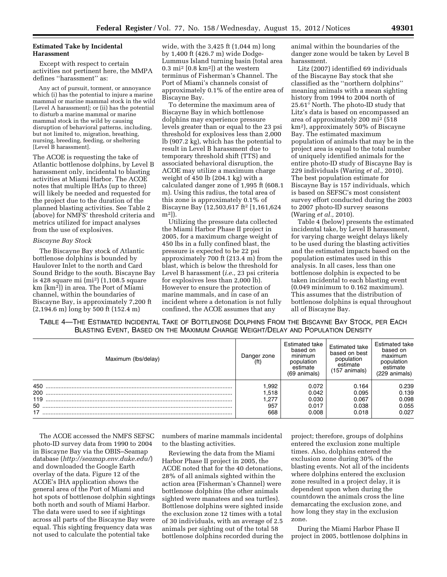# **Estimated Take by Incidental Harassment**

Except with respect to certain activities not pertinent here, the MMPA defines ''harassment'' as:

Any act of pursuit, torment, or annoyance which (i) has the potential to injure a marine mammal or marine mammal stock in the wild [Level A harassment]; or (ii) has the potential to disturb a marine mammal or marine mammal stock in the wild by causing disruption of behavioral patterns, including, but not limited to, migration, breathing, nursing, breeding, feeding, or sheltering [Level B harassment].

The ACOE is requesting the take of Atlantic bottlenose dolphins, by Level B harassment only, incidental to blasting activities at Miami Harbor. The ACOE notes that multiple IHAs (up to three) will likely be needed and requested for the project due to the duration of the planned blasting activities. See Table 2 (above) for NMFS' threshold criteria and metrics utilized for impact analyses from the use of explosives.

#### *Biscayne Bay Stock*

The Biscayne Bay stock of Atlantic bottlenose dolphins is bounded by Haulover Inlet to the north and Card Sound Bridge to the south. Biscayne Bay is 428 square mi (mi2) (1,108.5 square km [km2]) in area. The Port of Miami channel, within the boundaries of Biscayne Bay, is approximately 7,200 ft (2,194.6 m) long by 500 ft (152.4 m)

wide, with the 3,425 ft (1,044 m) long by 1,400 ft (426.7 m) wide Dodge-Lummus Island turning basin (total area  $0.3 \text{ mi}^2$  [0.8 km<sup>2</sup>]) at the western terminus of Fisherman's Channel. The Port of Miami's channels consist of approximately 0.1% of the entire area of Biscayne Bay.

To determine the maximum area of Biscayne Bay in which bottlenose dolphins may experience pressure levels greater than or equal to the 23 psi threshold for explosives less than 2,000 lb (907.2 kg), which has the potential to result in Level B harassment due to temporary threshold shift (TTS) and associated behavioral disruption, the ACOE may utilize a maximum charge weight of 450 lb (204.1 kg) with a calculated danger zone of 1,995 ft (608.1 m). Using this radius, the total area of this zone is approximately 0.1% of Biscayne Bay (12,503,617 ft2 [1,161,624 m2]).

Utilizing the pressure data collected the Miami Harbor Phase II project in 2005, for a maximum charge weight of 450 lbs in a fully confined blast, the pressure is expected to be 22 psi approximately 700 ft (213.4 m) from the blast, which is below the threshold for Level B harassment (*i.e.,* 23 psi criteria for explosives less than 2,000 lb). However to ensure the protection of marine mammals, and in case of an incident where a detonation is not fully confined, the ACOE assumes that any

animal within the boundaries of the danger zone would be taken by Level B harassment.

Litz (2007) identified 69 individuals of the Biscayne Bay stock that she classified as the ''northern dolphins'' meaning animals with a mean sighting history from 1994 to 2004 north of 25.61° North. The photo-ID study that Litz's data is based on encompassed an area of approximately 200 mi2 (518 km2), approximately 50% of Biscayne Bay. The estimated maximum population of animals that may be in the project area is equal to the total number of uniquely identified animals for the entire photo-ID study of Biscayne Bay is 229 individuals (Waring *et al.,* 2010). The best population estimate for Biscayne Bay is 157 individuals, which is based on SEFSC's most consistent survey effort conducted during the 2003 to 2007 photo-ID survey seasons (Waring *et al.,* 2010).

Table 4 (below) presents the estimated incidental take, by Level B harassment, for varying charge weight delays likely to be used during the blasting activities and the estimated impacts based on the population estimates used in this analysis. In all cases, less than one bottlenose dolphin is expected to be taken incidental to each blasting event (0.049 minimum to 0.162 maximum). This assumes that the distribution of bottlenose dolphins is equal throughout all of Biscayne Bay.

TABLE 4—THE ESTIMATED INCIDENTAL TAKE OF BOTTLENOSE DOLPHINS FROM THE BISCAYNE BAY STOCK, PER EACH BLASTING EVENT, BASED ON THE MAXIMUM CHARGE WEIGHT/DELAY AND POPULATION DENSITY

| Maximum (lbs/delay) | Danger zone<br>(f <sup>t</sup> ) | Estimated take<br>based on<br>minimum<br>population<br>estimate<br>(69 animals) | <b>Estimated take</b><br>based on best<br>population<br>estimate<br>(157 animals) | Estimated take<br>based on<br>maximum<br>population<br>estimate<br>(229 animals) |
|---------------------|----------------------------------|---------------------------------------------------------------------------------|-----------------------------------------------------------------------------------|----------------------------------------------------------------------------------|
| 450                 | .992                             | 0.072                                                                           | 0.164                                                                             | 0.239                                                                            |
| 200                 | 1.518                            | 0.042                                                                           | 0.095                                                                             | 0.139                                                                            |
| 119                 | 277.،                            | 0.030                                                                           | 0.067                                                                             | 0.098                                                                            |
|                     | 957                              | 0.017                                                                           | 0.038                                                                             | 0.055                                                                            |
|                     | 668                              | 0.008                                                                           | 0.018                                                                             | 0.027                                                                            |

The ACOE accessed the NMFS SEFSC photo-ID survey data from 1990 to 2004 in Biscayne Bay via the OBIS–Seamap database (*<http://seamap.env.duke.edu/>*) and downloaded the Google Earth overlay of the data. Figure 12 of the ACOE's IHA application shows the general area of the Port of Miami and hot spots of bottlenose dolphin sightings both north and south of Miami Harbor. The data were used to see if sightings across all parts of the Biscayne Bay were equal. This sighting frequency data was not used to calculate the potential take

numbers of marine mammals incidental to the blasting activities.

Reviewing the data from the Miami Harbor Phase II project in 2005, the ACOE noted that for the 40 detonations, 28% of all animals sighted within the action area (Fisherman's Channel) were bottlenose dolphins (the other animals sighted were manatees and sea turtles). Bottlenose dolphins were sighted inside the exclusion zone 12 times with a total of 30 individuals, with an average of 2.5 animals per sighting out of the total 58 bottlenose dolphins recorded during the project; therefore, groups of dolphins entered the exclusion zone multiple times. Also, dolphins entered the exclusion zone during 30% of the blasting events. Not all of the incidents where dolphins entered the exclusion zone resulted in a project delay, it is dependent upon when during the countdown the animals cross the line demarcating the exclusion zone, and how long they stay in the exclusion zone.

During the Miami Harbor Phase II project in 2005, bottlenose dolphins in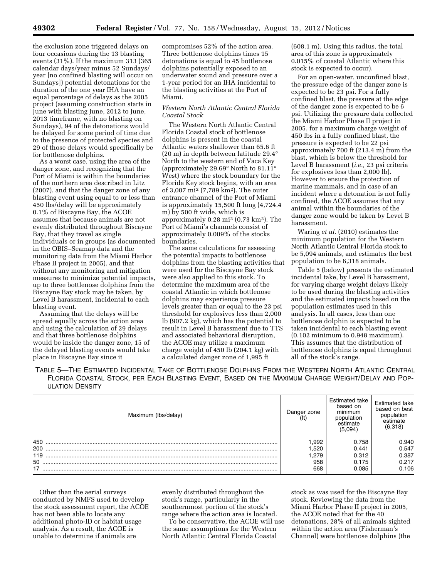the exclusion zone triggered delays on four occasions during the 13 blasting events (31%). If the maximum 313 (365 calendar days/year minus 52 Sundays/ year [no confined blasting will occur on Sundays]) potential detonations for the duration of the one year IHA have an equal percentage of delays as the 2005 project (assuming construction starts in June with blasting June, 2012 to June, 2013 timeframe, with no blasting on Sundays), 94 of the detonations would be delayed for some period of time due to the presence of protected species and 29 of those delays would specifically be for bottlenose dolphins.

As a worst case, using the area of the danger zone, and recognizing that the Port of Miami is within the boundaries of the northern area described in Litz (2007), and that the danger zone of any blasting event using equal to or less than 450 lbs/delay will be approximately 0.1% of Biscayne Bay, the ACOE assumes that because animals are not evenly distributed throughout Biscayne Bay, that they travel as single individuals or in groups (as documented in the OBIS–Seamap data and the monitoring data from the Miami Harbor Phase II project in 2005), and that without any monitoring and mitigation measures to minimize potential impacts, up to three bottlenose dolphins from the Biscayne Bay stock may be taken, by Level B harassment, incidental to each blasting event.

Assuming that the delays will be spread equally across the action area and using the calculation of 29 delays and that three bottlenose dolphins would be inside the danger zone, 15 of the delayed blasting events would take place in Biscayne Bay since it

compromises 52% of the action area. Three bottlenose dolphins times 15 detonations is equal to 45 bottlenose dolphins potentially exposed to an underwater sound and pressure over a 1-year period for an IHA incidental to the blasting activities at the Port of Miami.

# *Western North Atlantic Central Florida Coastal Stock*

The Western North Atlantic Central Florida Coastal stock of bottlenose dolphins is present in the coastal Atlantic waters shallower than 65.6 ft (20 m) in depth between latitude 29.4° North to the western end of Vaca Key (approximately 29.69° North to 81.11° West) where the stock boundary for the Florida Key stock begins, with an area of 3,007 mi2 (7,789 km2). The outer entrance channel of the Port of Miami is approximately 15,500 ft long (4,724.4 m) by 500 ft wide, which is approximately 0.28 mi2 (0.73 km2). The Port of Miami's channels consist of approximately 0.009% of the stocks boundaries.

The same calculations for assessing the potential impacts to bottlenose dolphins from the blasting activities that were used for the Biscayne Bay stock were also applied to this stock. To determine the maximum area of the coastal Atlantic in which bottlenose dolphins may experience pressure levels greater than or equal to the 23 psi threshold for explosives less than 2,000 lb (907.2 kg), which has the potential to result in Level B harassment due to TTS and associated behavioral disruption, the ACOE may utilize a maximum charge weight of 450 lb (204.1 kg) with a calculated danger zone of 1,995 ft

(608.1 m). Using this radius, the total area of this zone is approximately 0.015% of coastal Atlantic where this stock is expected to occur).

For an open-water, unconfined blast, the pressure edge of the danger zone is expected to be 23 psi. For a fully confined blast, the pressure at the edge of the danger zone is expected to be 6 psi. Utilizing the pressure data collected the Miami Harbor Phase II project in 2005, for a maximum charge weight of 450 lbs in a fully confined blast, the pressure is expected to be 22 psi approximately 700 ft (213.4 m) from the blast, which is below the threshold for Level B harassment (*i.e.,* 23 psi criteria for explosives less than 2,000 lb). However to ensure the protection of marine mammals, and in case of an incident where a detonation is not fully confined, the ACOE assumes that any animal within the boundaries of the danger zone would be taken by Level B harassment.

Waring *et al.* (2010) estimates the minimum population for the Western North Atlantic Central Florida stock to be 5,094 animals, and estimates the best population to be 6,318 animals.

Table 5 (below) presents the estimated incidental take, by Level B harassment, for varying charge weight delays likely to be used during the blasting activities and the estimated impacts based on the population estimates used in this analysis. In all cases, less than one bottlenose dolphin is expected to be taken incidental to each blasting event (0.102 minimum to 0.948 maximum). This assumes that the distribution of bottlenose dolphins is equal throughout all of the stock's range.

TABLE 5—THE ESTIMATED INCIDENTAL TAKE OF BOTTLENOSE DOLPHINS FROM THE WESTERN NORTH ATLANTIC CENTRAL FLORIDA COASTAL STOCK, PER EACH BLASTING EVENT, BASED ON THE MAXIMUM CHARGE WEIGHT/DELAY AND POP-ULATION DENSITY

| Maximum (Ibs/delay) | Danger zone | Estimated take<br>based on<br>minimum<br>population<br>estimate<br>(5,094) | Estimated take<br>based on best<br>population<br>estimate<br>(6,318) |
|---------------------|-------------|----------------------------------------------------------------------------|----------------------------------------------------------------------|
| 450                 | .992        | 0.758                                                                      | 0.940                                                                |
| 200                 | .520        | 0.441                                                                      | 0.547                                                                |
| 119                 | .279        | 0.312                                                                      | 0.387                                                                |
| 50                  | 958         | 0.175                                                                      | 0.217                                                                |
| 17                  | 668         | 0.085                                                                      | 0.106                                                                |

Other than the aerial surveys conducted by NMFS used to develop the stock assessment report, the ACOE has not been able to locate any additional photo-ID or habitat usage analysis. As a result, the ACOE is unable to determine if animals are

evenly distributed throughout the stock's range, particularly in the southernmost portion of the stock's range where the action area is located.

To be conservative, the ACOE will use the same assumptions for the Western North Atlantic Central Florida Coastal

stock as was used for the Biscayne Bay stock. Reviewing the data from the Miami Harbor Phase II project in 2005, the ACOE noted that for the 40 detonations, 28% of all animals sighted within the action area (Fisherman's Channel) were bottlenose dolphins (the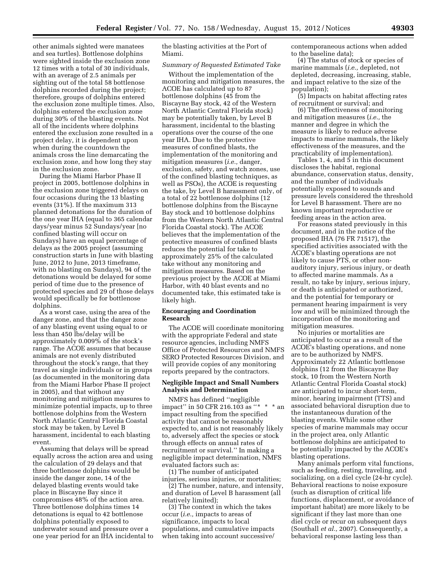other animals sighted were manatees and sea turtles). Bottlenose dolphins were sighted inside the exclusion zone 12 times with a total of 30 individuals, with an average of 2.5 animals per sighting out of the total 58 bottlenose dolphins recorded during the project; therefore, groups of dolphins entered the exclusion zone multiple times. Also, dolphins entered the exclusion zone during 30% of the blasting events. Not all of the incidents where dolphins entered the exclusion zone resulted in a project delay, it is dependent upon when during the countdown the animals cross the line demarcating the exclusion zone, and how long they stay in the exclusion zone.

During the Miami Harbor Phase II project in 2005, bottlenose dolphins in the exclusion zone triggered delays on four occasions during the 13 blasting events (31%). If the maximum 313 planned detonations for the duration of the one year IHA (equal to 365 calendar days/year minus 52 Sundays/year [no confined blasting will occur on Sundays) have an equal percentage of delays as the 2005 project (assuming construction starts in June with blasting June, 2012 to June, 2013 timeframe, with no blasting on Sundays), 94 of the detonations would be delayed for some period of time due to the presence of protected species and 29 of those delays would specifically be for bottlenose dolphins.

As a worst case, using the area of the danger zone, and that the danger zone of any blasting event using equal to or less than 450 lbs/delay will be approximately 0.009% of the stock's range. The ACOE assumes that because animals are not evenly distributed throughout the stock's range, that they travel as single individuals or in groups (as documented in the monitoring data from the Miami Harbor Phase II project in 2005), and that without any monitoring and mitigation measures to minimize potential impacts, up to three bottlenose dolphins from the Western North Atlantic Central Florida Coastal stock may be taken, by Level B harassment, incidental to each blasting event.

Assuming that delays will be spread equally across the action area and using the calculation of 29 delays and that three bottlenose dolphins would be inside the danger zone, 14 of the delayed blasting events would take place in Biscayne Bay since it compromises 48% of the action area. Three bottlenose dolphins times 14 detonations is equal to 42 bottlenose dolphins potentially exposed to underwater sound and pressure over a one year period for an IHA incidental to the blasting activities at the Port of Miami.

# *Summary of Requested Estimated Take*

Without the implementation of the monitoring and mitigation measures, the ACOE has calculated up to 87 bottlenose dolphins (45 from the Biscayne Bay stock, 42 of the Western North Atlantic Central Florida stock) may be potentially taken, by Level B harassment, incidental to the blasting operations over the course of the one year IHA. Due to the protective measures of confined blasts, the implementation of the monitoring and mitigation measures (*i.e.,* danger, exclusion, safety, and watch zones, use of the confined blasting techniques, as well as PSOs), the ACOE is requesting the take, by Level B harassment only, of a total of 22 bottlenose dolphins (12 bottlenose dolphins from the Biscayne Bay stock and 10 bottlenose dolphins from the Western North Atlantic Central Florida Coastal stock). The ACOE believes that the implementation of the protective measures of confined blasts reduces the potential for take to approximately 25% of the calculated take without any monitoring and mitigation measures. Based on the previous project by the ACOE at Miami Harbor, with 40 blast events and no documented take, this estimated take is likely high.

# **Encouraging and Coordination Research**

The ACOE will coordinate monitoring with the appropriate Federal and state resource agencies, including NMFS Office of Protected Resources and NMFS SERO Protected Resources Division, and will provide copies of any monitoring reports prepared by the contractors.

#### **Negligible Impact and Small Numbers Analysis and Determination**

NMFS has defined ''negligible impact" in 50 CFR 216.103 as "\* \* \* an impact resulting from the specified activity that cannot be reasonably expected to, and is not reasonably likely to, adversely affect the species or stock through effects on annual rates of recruitment or survival.'' In making a negligible impact determination, NMFS evaluated factors such as:

(1) The number of anticipated injuries, serious injuries, or mortalities;

(2) The number, nature, and intensity, and duration of Level B harassment (all relatively limited);

(3) The context in which the takes occur (*i.e.,* impacts to areas of significance, impacts to local populations, and cumulative impacts when taking into account successive/

contemporaneous actions when added to the baseline data);

(4) The status of stock or species of marine mammals (*i.e.,* depleted, not depleted, decreasing, increasing, stable, and impact relative to the size of the population);

(5) Impacts on habitat affecting rates of recruitment or survival; and

(6) The effectiveness of monitoring and mitigation measures (*i.e.,* the manner and degree in which the measure is likely to reduce adverse impacts to marine mammals, the likely effectiveness of the measures, and the practicability of implementation).

Tables 1, 4, and 5 in this document discloses the habitat, regional abundance, conservation status, density, and the number of individuals potentially exposed to sounds and pressure levels considered the threshold for Level B harassment. There are no known important reproductive or feeding areas in the action area.

For reasons stated previously in this document, and in the notice of the proposed IHA (76 FR 71517), the specified activities associated with the ACOE's blasting operations are not likely to cause PTS, or other nonauditory injury, serious injury, or death to affected marine mammals. As a result, no take by injury, serious injury, or death is anticipated or authorized, and the potential for temporary or permanent hearing impairment is very low and will be minimized through the incorporation of the monitoring and mitigation measures.

No injuries or mortalities are anticipated to occur as a result of the ACOE's blasting operations, and none are to be authorized by NMFS. Approximately 22 Atlantic bottlenose dolphins (12 from the Biscayne Bay stock, 10 from the Western North Atlantic Central Florida Coastal stock) are anticipated to incur short-term, minor, hearing impairment (TTS) and associated behavioral disruption due to the instantaneous duration of the blasting events. While some other species of marine mammals may occur in the project area, only Atlantic bottlenose dolphins are anticipated to be potentially impacted by the ACOE's blasting operations.

Many animals perform vital functions, such as feeding, resting, traveling, and socializing, on a diel cycle (24-hr cycle). Behavioral reactions to noise exposure (such as disruption of critical life functions, displacement, or avoidance of important habitat) are more likely to be significant if they last more than one diel cycle or recur on subsequent days (Southall *et al.,* 2007). Consequently, a behavioral response lasting less than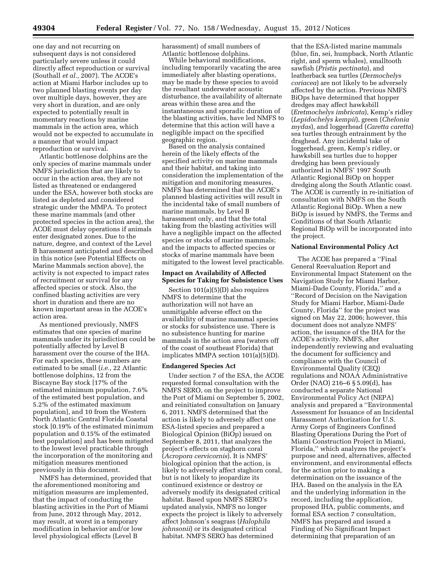one day and not recurring on subsequent days is not considered particularly severe unless it could directly affect reproduction or survival (Southall *et al.,* 2007). The ACOE's action at Miami Harbor includes up to two planned blasting events per day over multiple days, however, they are very short in duration, and are only expected to potentially result in momentary reactions by marine mammals in the action area, which would not be expected to accumulate in a manner that would impact reproduction or survival.

Atlantic bottlenose dolphins are the only species of marine mammals under NMFS jurisdiction that are likely to occur in the action area, they are not listed as threatened or endangered under the ESA, however both stocks are listed as depleted and considered strategic under the MMPA. To protect these marine mammals (and other protected species in the action area), the ACOE must delay operations if animals enter designated zones. Due to the nature, degree, and context of the Level B harassment anticipated and described in this notice (see Potential Effects on Marine Mammals section above), the activity is not expected to impact rates of recruitment or survival for any affected species or stock. Also, the confined blasting activities are very short in duration and there are no known important areas in the ACOE's action area.

As mentioned previously, NMFS estimates that one species of marine mammals under its jurisdiction could be potentially affected by Level B harassment over the course of the IHA. For each species, these numbers are estimated to be small (*i.e.,* 22 Atlantic bottlenose dolphins, 12 from the Biscayne Bay stock [17% of the estimated minimum population, 7.6% of the estimated best population, and 5.2% of the estimated maximum population], and 10 from the Western North Atlantic Central Florida Coastal stock [0.19% of the estimated minimum population and 0.15% of the estimated best population] and has been mitigated to the lowest level practicable through the incorporation of the monitoring and mitigation measures mentioned previously in this document.

NMFS has determined, provided that the aforementioned monitoring and mitigation measures are implemented, that the impact of conducting the blasting activities in the Port of Miami from June, 2012 through May, 2012, may result, at worst in a temporary modification in behavior and/or low level physiological effects (Level B

harassment) of small numbers of Atlantic bottlenose dolphins.

While behavioral modifications, including temporarily vacating the area immediately after blasting operations, may be made by these species to avoid the resultant underwater acoustic disturbance, the availability of alternate areas within these area and the instantaneous and sporadic duration of the blasting activities, have led NMFS to determine that this action will have a negligible impact on the specified geographic region.

Based on the analysis contained herein of the likely effects of the specified activity on marine mammals and their habitat, and taking into consideration the implementation of the mitigation and monitoring measures, NMFS has determined that the ACOE's planned blasting activities will result in the incidental take of small numbers of marine mammals, by Level B harassment only, and that the total taking from the blasting activities will have a negligible impact on the affected species or stocks of marine mammals; and the impacts to affected species or stocks of marine mammals have been mitigated to the lowest level practicable.

#### **Impact on Availability of Affected Species for Taking for Subsistence Uses**

Section 101(a)(5)(D) also requires NMFS to determine that the authorization will not have an unmitigable adverse effect on the availability of marine mammal species or stocks for subsistence use. There is no subsistence hunting for marine mammals in the action area (waters off of the coast of southeast Florida) that implicates MMPA section 101(a)(5)(D).

#### **Endangered Species Act**

Under section 7 of the ESA, the ACOE requested formal consultation with the NMFS SERO, on the project to improve the Port of Miami on September 5, 2002, and reinitiated consultation on January 6, 2011. NMFS determined that the action is likely to adversely affect one ESA-listed species and prepared a Biological Opinion (BiOp) issued on September 8, 2011, that analyzes the project's effects on staghorn coral (*Acropora cervicornis*). It is NMFS' biological opinion that the action, is likely to adversely affect staghorn coral, but is not likely to jeopardize its continued existence or destroy or adversely modify its designated critical habitat. Based upon NMFS SERO's updated analysis, NMFS no longer expects the project is likely to adversely affect Johnson's seagrass (*Halophila johnsonii*) or its designated critical habitat. NMFS SERO has determined

that the ESA-listed marine mammals (blue, fin, sei, humpback, North Atlantic right, and sperm whales), smalltooth sawfish (*Pristis pectinata*), and leatherback sea turtles (*Dermochelys coriacea*) are not likely to be adversely affected by the action. Previous NMFS BiOps have determined that hopper dredges may affect hawksbill (*Eretmochelys imbricata*), Kemp's ridley (*Lepidochelys kempii*), green (*Chelonia mydas*), and loggerhead (*Caretta caretta*) sea turtles through entrainment by the draghead. Any incidental take of loggerhead, green, Kemp's ridley, or hawksbill sea turtles due to hopper dredging has been previously authorized in NMFS' 1997 South Atlantic Regional BiOp on hopper dredging along the South Atlantic coast. The ACOE is currently in re-initiation of consultation with NMFS on the South Atlantic Regional BiOp. When a new BiOp is issued by NMFS, the Terms and Conditions of that South Atlantic Regional BiOp will be incorporated into the project.

#### **National Environmental Policy Act**

The ACOE has prepared a ''Final General Reevaluation Report and Environmental Impact Statement on the Navigation Study for Miami Harbor, Miami-Dade County, Florida,'' and a ''Record of Decision on the Navigation Study for Miami Harbor, Miami-Dade County, Florida'' for the project was signed on May 22, 2006; however, this document does not analyze NMFS' action, the issuance of the IHA for the ACOE's activity. NMFS, after independently reviewing and evaluating the document for sufficiency and compliance with the Council of Environmental Quality (CEQ) regulations and NOAA Administrative Order (NAO) 216–6 § 5.09(d), has conducted a separate National Environmental Policy Act (NEPA) analysis and prepared a ''Environmental Assessment for Issuance of an Incidental Harassment Authorization for U.S. Army Corps of Engineers Confined Blasting Operations During the Port of Miami Construction Project in Miami, Florida,'' which analyzes the project's purpose and need, alternatives, affected environment, and environmental effects for the action prior to making a determination on the issuance of the IHA. Based on the analysis in the EA and the underlying information in the record, including the application, proposed IHA, public comments, and formal ESA section 7 consultation, NMFS has prepared and issued a Finding of No Significant Impact determining that preparation of an